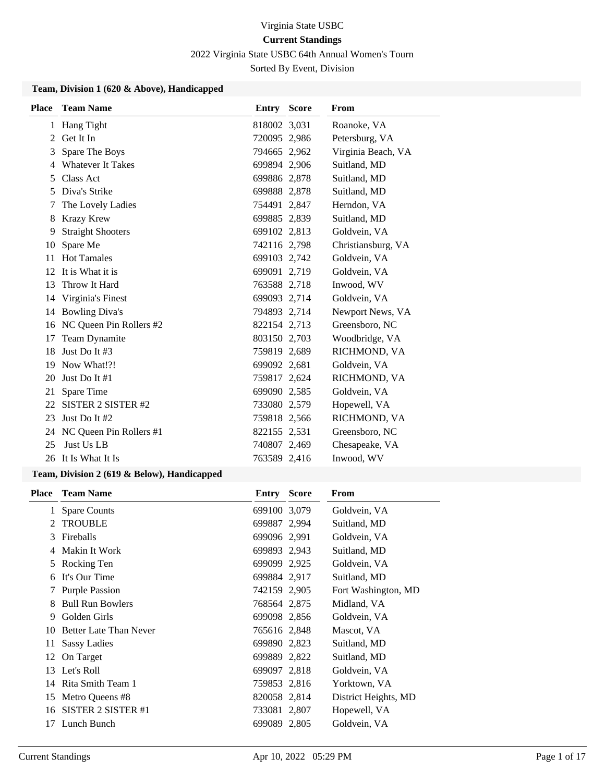2022 Virginia State USBC 64th Annual Women's Tourn

Sorted By Event, Division

#### **Team, Division 1 (620 & Above), Handicapped**

| <b>Place</b> | <b>Team Name</b>         | <b>Entry Score</b> | From               |
|--------------|--------------------------|--------------------|--------------------|
| 1            | Hang Tight               | 818002 3,031       | Roanoke, VA        |
| 2            | Get It In                | 720095 2,986       | Petersburg, VA     |
| 3            | Spare The Boys           | 794665 2,962       | Virginia Beach, VA |
| 4            | <b>Whatever It Takes</b> | 699894 2,906       | Suitland, MD       |
| 5            | Class Act                | 699886 2,878       | Suitland, MD       |
| 5            | Diva's Strike            | 699888 2,878       | Suitland, MD       |
| 7            | The Lovely Ladies        | 754491 2,847       | Herndon, VA        |
| 8            | <b>Krazy Krew</b>        | 699885 2,839       | Suitland, MD       |
| 9            | <b>Straight Shooters</b> | 699102 2,813       | Goldvein, VA       |
| 10           | Spare Me                 | 742116 2,798       | Christiansburg, VA |
| 11           | <b>Hot Tamales</b>       | 699103 2,742       | Goldvein, VA       |
| 12           | It is What it is         | 699091 2,719       | Goldvein, VA       |
| 13           | Throw It Hard            | 763588 2,718       | Inwood, WV         |
| 14           | Virginia's Finest        | 699093 2,714       | Goldvein, VA       |
| 14           | <b>Bowling Diva's</b>    | 794893 2,714       | Newport News, VA   |
| 16           | NC Queen Pin Rollers #2  | 822154 2,713       | Greensboro, NC     |
| 17           | Team Dynamite            | 803150 2,703       | Woodbridge, VA     |
| 18           | Just Do It $#3$          | 759819 2,689       | RICHMOND, VA       |
| 19           | Now What!?!              | 699092 2,681       | Goldvein, VA       |
| 20           | Just Do It $#1$          | 759817 2,624       | RICHMOND, VA       |
| 21           | Spare Time               | 699090 2,585       | Goldvein, VA       |
| 22           | SISTER 2 SISTER #2       | 733080 2,579       | Hopewell, VA       |
| 23           | Just Do It #2            | 759818 2,566       | RICHMOND, VA       |
| 24           | NC Queen Pin Rollers #1  | 822155 2,531       | Greensboro, NC     |
| 25           | Just Us LB               | 740807 2,469       | Chesapeake, VA     |
|              | 26 It Is What It Is      | 763589 2,416       | Inwood, WV         |

#### **Team, Division 2 (619 & Below), Handicapped**

| <b>Place</b> | <b>Team Name</b>              | Entry        | <b>Score</b> | From                 |
|--------------|-------------------------------|--------------|--------------|----------------------|
| 1            | <b>Spare Counts</b>           | 699100 3,079 |              | Goldvein, VA         |
| 2            | <b>TROUBLE</b>                | 699887 2,994 |              | Suitland, MD         |
| 3            | Fireballs                     | 699096 2,991 |              | Goldvein, VA         |
| 4            | Makin It Work                 | 699893 2,943 |              | Suitland, MD         |
| 5            | Rocking Ten                   | 699099 2,925 |              | Goldvein, VA         |
| 6            | It's Our Time                 | 699884 2,917 |              | Suitland, MD         |
| 7            | <b>Purple Passion</b>         | 742159 2,905 |              | Fort Washington, MD  |
| 8            | <b>Bull Run Bowlers</b>       | 768564 2,875 |              | Midland, VA          |
| 9            | Golden Girls                  | 699098 2,856 |              | Goldvein, VA         |
| 10           | <b>Better Late Than Never</b> | 765616 2,848 |              | Mascot, VA           |
| 11           | Sassy Ladies                  | 699890 2,823 |              | Suitland, MD         |
|              | 12 On Target                  | 699889 2,822 |              | Suitland, MD         |
| 13           | Let's Roll                    | 699097 2,818 |              | Goldvein, VA         |
| 14           | Rita Smith Team 1             | 759853 2,816 |              | Yorktown, VA         |
| 15           | Metro Queens #8               | 820058 2,814 |              | District Heights, MD |
| 16           | SISTER 2 SISTER #1            | 733081 2,807 |              | Hopewell, VA         |
| 17           | Lunch Bunch                   | 699089 2,805 |              | Goldvein, VA         |
|              |                               |              |              |                      |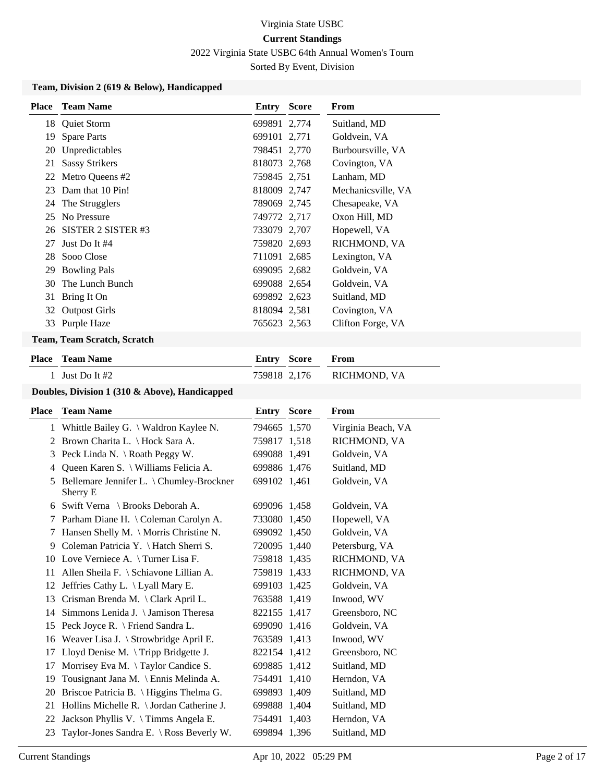2022 Virginia State USBC 64th Annual Women's Tourn

Sorted By Event, Division

#### **Team, Division 2 (619 & Below), Handicapped**

| <b>Place</b> | <b>Team Name</b>                  | <b>Entry Score</b> | From               |
|--------------|-----------------------------------|--------------------|--------------------|
|              | 18 Quiet Storm                    | 699891 2,774       | Suitland, MD       |
| 19           | <b>Spare Parts</b>                | 699101 2,771       | Goldvein, VA       |
| 20           | Unpredictables                    | 798451 2,770       | Burboursville, VA  |
| 21           | <b>Sassy Strikers</b>             | 818073 2,768       | Covington, VA      |
|              | 22 Metro Queens #2                | 759845 2,751       | Lanham, MD         |
| 23           | Dam that 10 Pin!                  | 818009 2,747       | Mechanicsville, VA |
|              | 24 The Strugglers                 | 789069 2,745       | Chesapeake, VA     |
| 25           | No Pressure                       | 749772 2,717       | Oxon Hill, MD      |
|              | 26 SISTER 2 SISTER #3             | 733079 2,707       | Hopewell, VA       |
| 27           | Just Do It #4                     | 759820 2,693       | RICHMOND, VA       |
|              | 28 Sooo Close                     | 711091 2,685       | Lexington, VA      |
| 29           | <b>Bowling Pals</b>               | 699095 2,682       | Goldvein, VA       |
|              | 30 The Lunch Bunch                | 699088 2,654       | Goldvein, VA       |
|              | 31 Bring It On                    | 699892 2,623       | Suitland, MD       |
|              | 32 Outpost Girls                  | 818094 2,581       | Covington, VA      |
|              | 33 Purple Haze                    | 765623 2.563       | Clifton Forge, VA  |
|              | Treasure Traces Constale Constale |                    |                    |

# **Team, Team Scratch, Scratch**

| <b>Place – Team Name</b> | <b>Entry Score From</b> |                           |
|--------------------------|-------------------------|---------------------------|
| 1 Just Do It $#2$        |                         | 759818 2,176 RICHMOND, VA |
|                          |                         |                           |

## **Doubles, Division 1 (310 & Above), Handicapped**

| Place | <b>Team Name</b>                                    | <b>Entry Score</b> | <b>From</b>        |
|-------|-----------------------------------------------------|--------------------|--------------------|
|       | 1 Whittle Bailey G. \ Waldron Kaylee N.             | 794665 1,570       | Virginia Beach, VA |
| 2     | Brown Charita L. \ Hock Sara A.                     | 759817 1,518       | RICHMOND, VA       |
| 3     | Peck Linda N. \ Roath Peggy W.                      | 699088 1,491       | Goldvein, VA       |
| 4     | Queen Karen S. \ Williams Felicia A.                | 699886 1,476       | Suitland, MD       |
| 5     | Bellemare Jennifer L. \Chumley-Brockner<br>Sherry E | 699102 1,461       | Goldvein, VA       |
| 6     | Swift Verna \ Brooks Deborah A.                     | 699096 1,458       | Goldvein, VA       |
| 7     | Parham Diane H. \ Coleman Carolyn A.                | 733080 1,450       | Hopewell, VA       |
| 7     | Hansen Shelly M. \ Morris Christine N.              | 699092 1,450       | Goldvein, VA       |
| 9     | Coleman Patricia Y. \ Hatch Sherri S.               | 720095 1,440       | Petersburg, VA     |
| 10    | Love Verniece A. \Turner Lisa F.                    | 759818 1,435       | RICHMOND, VA       |
| 11    | Allen Sheila F. $\setminus$ Schiavone Lillian A.    | 759819 1,433       | RICHMOND, VA       |
| 12    | Jeffries Cathy L. $\setminus$ Lyall Mary E.         | 699103 1,425       | Goldvein, VA       |
| 13    | Crisman Brenda M. \ Clark April L.                  | 763588 1,419       | Inwood, WV         |
| 14    | Simmons Lenida J. \ Jamison Theresa                 | 822155 1,417       | Greensboro, NC     |
| 15    | Peck Joyce R. \ Friend Sandra L.                    | 699090 1,416       | Goldvein, VA       |
| 16    | Weaver Lisa J. $\Set{Strowbridge April E.}$         | 763589 1,413       | Inwood, WV         |
| 17    | Lloyd Denise M. $\langle$ Tripp Bridgette J.        | 822154 1,412       | Greensboro, NC     |
| 17    | Morrisey Eva M. $\setminus$ Taylor Candice S.       | 699885 1,412       | Suitland, MD       |
| 19    | Tousignant Jana M. \ Ennis Melinda A.               | 754491 1,410       | Herndon, VA        |
| 20    | Briscoe Patricia B. \ Higgins Thelma G.             | 699893 1,409       | Suitland, MD       |
| 21    | Hollins Michelle R. $\setminus$ Jordan Catherine J. | 699888 1,404       | Suitland, MD       |
| 22    | Jackson Phyllis V. \Timms Angela E.                 | 754491 1,403       | Herndon, VA        |
| 23    | Taylor-Jones Sandra E. \ Ross Beverly W.            | 699894 1.396       | Suitland, MD       |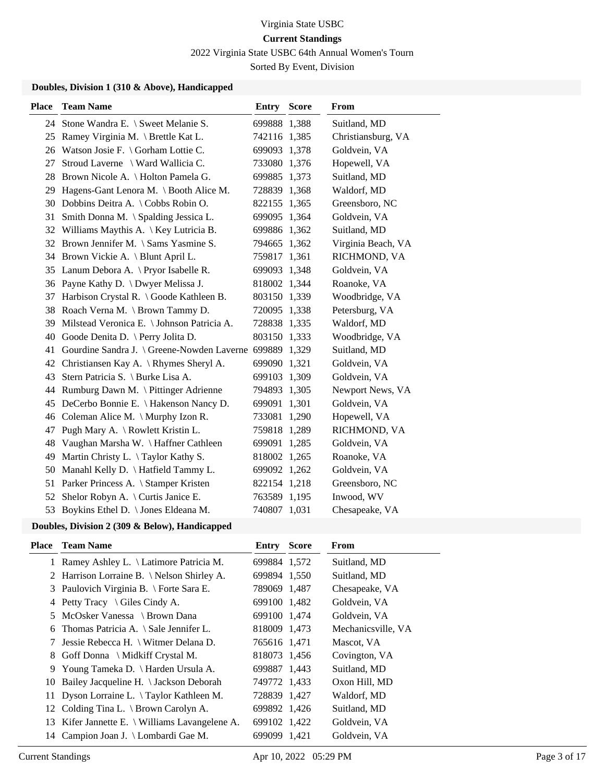2022 Virginia State USBC 64th Annual Women's Tourn

Sorted By Event, Division

#### **Doubles, Division 1 (310 & Above), Handicapped**

| <b>Place</b> | <b>Team Name</b>                           | <b>Entry Score</b> | From               |
|--------------|--------------------------------------------|--------------------|--------------------|
|              | 24 Stone Wandra E. \ Sweet Melanie S.      | 699888 1,388       | Suitland, MD       |
|              | 25 Ramey Virginia M. \ Brettle Kat L.      | 742116 1,385       | Christiansburg, VA |
|              | 26 Watson Josie F. \ Gorham Lottie C.      | 699093 1,378       | Goldvein, VA       |
| 27           | Stroud Laverne \ Ward Wallicia C.          | 733080 1,376       | Hopewell, VA       |
|              | 28 Brown Nicole A. \ Holton Pamela G.      | 699885 1,373       | Suitland, MD       |
| 29           | Hagens-Gant Lenora M. \ Booth Alice M.     | 728839 1,368       | Waldorf, MD        |
| 30           | Dobbins Deitra A. \ Cobbs Robin O.         | 822155 1,365       | Greensboro, NC     |
| 31           | Smith Donna M. \ Spalding Jessica L.       | 699095 1,364       | Goldvein, VA       |
|              | 32 Williams Maythis A. \ Key Lutricia B.   | 699886 1,362       | Suitland, MD       |
|              | 32 Brown Jennifer M. \ Sams Yasmine S.     | 794665 1,362       | Virginia Beach, VA |
|              | 34 Brown Vickie A. \ Blunt April L.        | 759817 1,361       | RICHMOND, VA       |
| 35           | Lanum Debora A. \ Pryor Isabelle R.        | 699093 1,348       | Goldvein, VA       |
|              | 36 Payne Kathy D. \ Dwyer Melissa J.       | 818002 1,344       | Roanoke, VA        |
| 37           | Harbison Crystal R. \ Goode Kathleen B.    | 803150 1,339       | Woodbridge, VA     |
| 38           | Roach Verna M. \ Brown Tammy D.            | 720095 1,338       | Petersburg, VA     |
| 39           | Milstead Veronica E. \ Johnson Patricia A. | 728838 1,335       | Waldorf, MD        |
| 40           | Goode Denita D. \ Perry Jolita D.          | 803150 1,333       | Woodbridge, VA     |
| 41           | Gourdine Sandra J. \ Greene-Nowden Laverne | 699889 1,329       | Suitland, MD       |
| 42           | Christiansen Kay A. \ Rhymes Sheryl A.     | 699090 1,321       | Goldvein, VA       |
| 43           | Stern Patricia S. \ Burke Lisa A.          | 699103 1,309       | Goldvein, VA       |
| 44           | Rumburg Dawn M. \ Pittinger Adrienne       | 794893 1,305       | Newport News, VA   |
| 45           | DeCerbo Bonnie E. \ Hakenson Nancy D.      | 699091 1,301       | Goldvein, VA       |
| 46           | Coleman Alice M. $\langle$ Murphy Izon R.  | 733081 1,290       | Hopewell, VA       |
| 47           | Pugh Mary A. \ Rowlett Kristin L.          | 759818 1,289       | RICHMOND, VA       |
| 48           | Vaughan Marsha W. \ Haffner Cathleen       | 699091 1,285       | Goldvein, VA       |
| 49           | Martin Christy L. \Taylor Kathy S.         | 818002 1,265       | Roanoke, VA        |
| 50           | Manahl Kelly D. \ Hatfield Tammy L.        | 699092 1,262       | Goldvein, VA       |
| 51           | Parker Princess A. \ Stamper Kristen       | 822154 1,218       | Greensboro, NC     |
| 52           | Shelor Robyn A. \ Curtis Janice E.         | 763589 1,195       | Inwood, WV         |
|              | 53 Boykins Ethel D. \ Jones Eldeana M.     | 740807 1,031       | Chesapeake, VA     |

#### **Doubles, Division 2 (309 & Below), Handicapped**

|     | <b>Place</b> Team Name                            | <b>Entry Score</b> | <b>From</b>        |
|-----|---------------------------------------------------|--------------------|--------------------|
|     | 1 Ramey Ashley L. \ Latimore Patricia M.          | 699884 1,572       | Suitland, MD       |
|     | 2 Harrison Lorraine B. \ Nelson Shirley A.        | 699894 1,550       | Suitland, MD       |
|     | 3 Paulovich Virginia B. \ Forte Sara E.           | 789069 1,487       | Chesapeake, VA     |
|     | 4 Petty Tracy $\setminus$ Giles Cindy A.          | 699100 1,482       | Goldvein, VA       |
|     | 5 McOsker Vanessa \ Brown Dana                    | 699100 1,474       | Goldvein, VA       |
|     | 6 Thomas Patricia A. $\setminus$ Sale Jennifer L. | 818009 1,473       | Mechanicsville, VA |
| 7   | Jessie Rebecca H. \ Witmer Delana D.              | 765616 1,471       | Mascot, VA         |
| 8.  | Goff Donna \ Midkiff Crystal M.                   | 818073 1,456       | Covington, VA      |
|     | 9 Young Tameka D. \ Harden Ursula A.              | 699887 1,443       | Suitland, MD       |
| 10  | Bailey Jacqueline H. \ Jackson Deborah            | 749772 1,433       | Oxon Hill, MD      |
| 11- | Dyson Lorraine L. \Taylor Kathleen M.             | 728839 1,427       | Waldorf, MD        |
| 12  | Colding Tina L. $\setminus$ Brown Carolyn A.      | 699892 1,426       | Suitland, MD       |
| 13  | Kifer Jannette E. \ Williams Lavangelene A.       | 699102 1,422       | Goldvein, VA       |
| 14  | Campion Joan J. \ Lombardi Gae M.                 | 699099 1,421       | Goldvein, VA       |
|     |                                                   |                    |                    |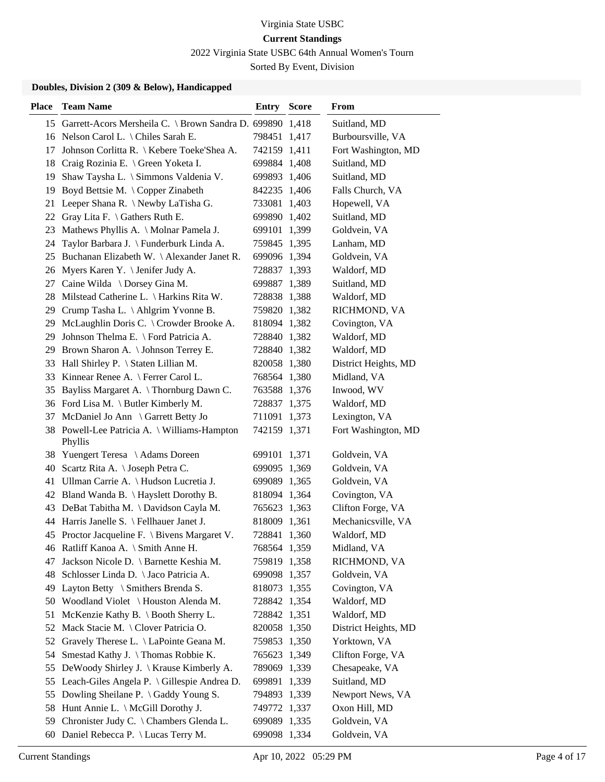2022 Virginia State USBC 64th Annual Women's Tourn

Sorted By Event, Division

## **Doubles, Division 2 (309 & Below), Handicapped**

| <b>Place</b> | <b>Team Name</b>                                             | Entry        | <b>Score</b> | From                 |
|--------------|--------------------------------------------------------------|--------------|--------------|----------------------|
|              | 15 Garrett-Acors Mersheila C. \ Brown Sandra D. 699890 1,418 |              |              | Suitland, MD         |
|              | 16 Nelson Carol L. \ Chiles Sarah E.                         | 798451       | 1,417        | Burboursville, VA    |
| 17           | Johnson Corlitta R. \ Kebere Toeke'Shea A.                   | 742159 1,411 |              | Fort Washington, MD  |
| 18           | Craig Rozinia E. \ Green Yoketa I.                           | 699884 1,408 |              | Suitland, MD         |
| 19           | Shaw Taysha L. \ Simmons Valdenia V.                         | 699893 1,406 |              | Suitland, MD         |
| 19           | Boyd Bettsie M. \Copper Zinabeth                             | 842235 1,406 |              | Falls Church, VA     |
| 21           | Leeper Shana R. \ Newby LaTisha G.                           | 733081 1,403 |              | Hopewell, VA         |
| 22           | Gray Lita F. $\setminus$ Gathers Ruth E.                     | 699890 1,402 |              | Suitland, MD         |
| 23           | Mathews Phyllis A. \ Molnar Pamela J.                        | 699101 1,399 |              | Goldvein, VA         |
| 24           | Taylor Barbara J. \ Funderburk Linda A.                      | 759845 1,395 |              | Lanham, MD           |
| 25           | Buchanan Elizabeth W. \ Alexander Janet R.                   | 699096 1,394 |              | Goldvein, VA         |
| 26           | Myers Karen Y. \ Jenifer Judy A.                             | 728837 1,393 |              | Waldorf, MD          |
| 27           | Caine Wilda \ Dorsey Gina M.                                 | 699887 1,389 |              | Suitland, MD         |
| 28.          | Milstead Catherine L. \ Harkins Rita W.                      | 728838 1,388 |              | Waldorf, MD          |
|              | 29 Crump Tasha L. \Ahlgrim Yvonne B.                         | 759820 1,382 |              | RICHMOND, VA         |
| 29           | McLaughlin Doris C. \ Crowder Brooke A.                      | 818094 1,382 |              | Covington, VA        |
| 29           | Johnson Thelma E. \ Ford Patricia A.                         | 728840 1,382 |              | Waldorf, MD          |
| 29           | Brown Sharon A. \ Johnson Terrey E.                          | 728840 1,382 |              | Waldorf, MD          |
|              | 33 Hall Shirley P. \ Staten Lillian M.                       | 820058 1,380 |              | District Heights, MD |
| 33           | Kinnear Renee A. \ Ferrer Carol L.                           | 768564 1,380 |              | Midland, VA          |
| 35           | Bayliss Margaret A. \ Thornburg Dawn C.                      | 763588 1,376 |              | Inwood, WV           |
|              | 36 Ford Lisa M. \ Butler Kimberly M.                         | 728837 1,375 |              | Waldorf, MD          |
| 37           | McDaniel Jo Ann \ Garrett Betty Jo                           | 711091 1,373 |              | Lexington, VA        |
|              | 38 Powell-Lee Patricia A. \ Williams-Hampton<br>Phyllis      | 742159 1,371 |              | Fort Washington, MD  |
|              | 38 Yuengert Teresa \Adams Doreen                             | 699101 1,371 |              | Goldvein, VA         |
| 40           | Scartz Rita A. \ Joseph Petra C.                             | 699095 1,369 |              | Goldvein, VA         |
|              | 41 Ullman Carrie A. \ Hudson Lucretia J.                     | 699089 1,365 |              | Goldvein, VA         |
|              | 42 Bland Wanda B. \ Hayslett Dorothy B.                      | 818094 1,364 |              | Covington, VA        |
|              | 43 DeBat Tabitha M. \Davidson Cayla M.                       | 765623 1,363 |              | Clifton Forge, VA    |
|              | 44 Harris Janelle S. \ Fellhauer Janet J.                    | 818009 1,361 |              | Mechanicsville, VA   |
|              | 45 Proctor Jacqueline F. \ Bivens Margaret V.                | 728841 1,360 |              | Waldorf, MD          |
|              | 46 Ratliff Kanoa A. \ Smith Anne H.                          | 768564 1,359 |              | Midland, VA          |
| 47           | Jackson Nicole D. \ Barnette Keshia M.                       | 759819 1,358 |              | RICHMOND, VA         |
| 48.          | Schlosser Linda D. \ Jaco Patricia A.                        | 699098 1,357 |              | Goldvein, VA         |
|              | 49 Layton Betty \ Smithers Brenda S.                         | 818073 1,355 |              | Covington, VA        |
|              | 50 Woodland Violet \ Houston Alenda M.                       | 728842 1,354 |              | Waldorf, MD          |
| 51           | McKenzie Kathy B. \ Booth Sherry L.                          | 728842 1,351 |              | Waldorf, MD          |
|              | 52 Mack Stacie M. \ Clover Patricia O.                       | 820058 1,350 |              | District Heights, MD |
|              | 52 Gravely Therese L. \ LaPointe Geana M.                    | 759853 1,350 |              | Yorktown, VA         |
| 54           | Smestad Kathy J. \Thomas Robbie K.                           | 765623 1,349 |              | Clifton Forge, VA    |
| 55           | DeWoody Shirley J. \ Krause Kimberly A.                      | 789069 1,339 |              | Chesapeake, VA       |
| 55           | Leach-Giles Angela P. \Gillespie Andrea D.                   | 699891       | 1,339        | Suitland, MD         |
|              | 55 Dowling Sheilane P. \ Gaddy Young S.                      | 794893 1,339 |              | Newport News, VA     |
| 58           | Hunt Annie L. \ McGill Dorothy J.                            | 749772 1,337 |              | Oxon Hill, MD        |
| 59           | Chronister Judy C. \ Chambers Glenda L.                      | 699089 1,335 |              | Goldvein, VA         |
| 60           | Daniel Rebecca P. \ Lucas Terry M.                           | 699098 1,334 |              | Goldvein, VA         |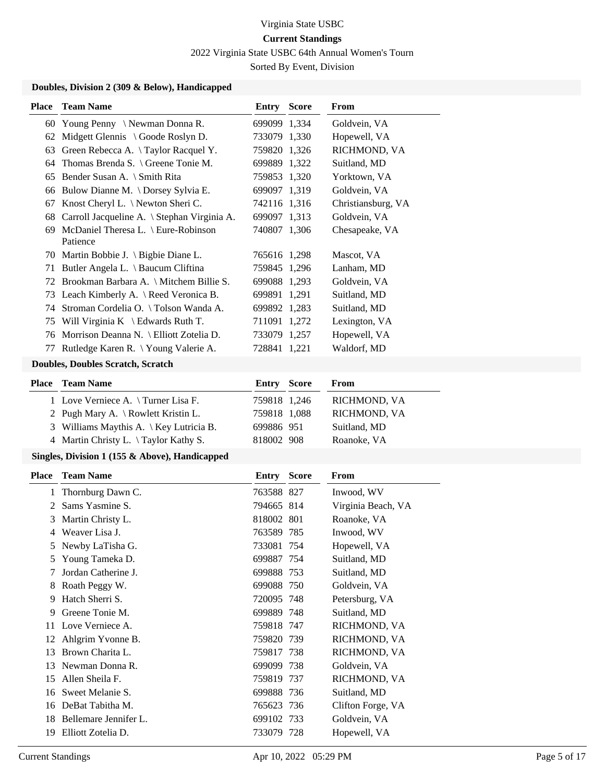2022 Virginia State USBC 64th Annual Women's Tourn

Sorted By Event, Division

## **Doubles, Division 2 (309 & Below), Handicapped**

| 60 Young Penny \Newman Donna R.<br>699099 1,334<br>Goldvein, VA<br>Midgett Glennis \ Goode Roslyn D.<br>733079 1,330<br>Hopewell, VA<br>62<br>Green Rebecca A. \Taylor Racquel Y.<br>759820 1,326<br>RICHMOND, VA<br>63<br>Thomas Brenda S. \ Greene Tonie M.<br>699889 1,322<br>Suitland, MD<br>64<br>65 Bender Susan A. \ Smith Rita<br>759853 1,320<br>Yorktown, VA<br>66 Bulow Dianne M. \Dorsey Sylvia E.<br>699097 1,319<br>Goldvein, VA<br>Knost Cheryl L. \ Newton Sheri C.<br>742116 1,316<br>Christiansburg, VA<br>67<br>Carroll Jacqueline A. \ Stephan Virginia A.<br>Goldvein, VA<br>699097 1,313<br>68<br>69 McDaniel Theresa L. \ Eure-Robinson<br>740807 1,306<br>Chesapeake, VA<br>Patience<br>70 Martin Bobbie J. \ Bigbie Diane L.<br>765616 1,298<br>Mascot, VA<br>71 Butler Angela L. \ Baucum Cliftina<br>Lanham, MD<br>759845 1,296<br>72 Brookman Barbara A. \ Mitchem Billie S.<br>699088 1,293<br>Goldvein, VA<br>73 Leach Kimberly A. \ Reed Veronica B.<br>Suitland, MD<br>699891 1,291<br>74 Stroman Cordelia O. \Tolson Wanda A.<br>699892 1,283<br>Suitland, MD<br>75 Will Virginia K \ Edwards Ruth T.<br>Lexington, VA<br>711091 1,272<br>76 Morrison Deanna N. \ Elliott Zotelia D.<br>Hopewell, VA<br>733079 1,257<br>77 Rutledge Karen R. \ Young Valerie A.<br>Waldorf, MD<br>728841 1,221<br><b>Doubles, Doubles Scratch, Scratch</b><br><b>Team Name</b><br><b>Entry Score</b><br>From<br>1 Love Verniece A. \Turner Lisa F.<br>759818 1,246<br>RICHMOND, VA<br>2 Pugh Mary A. \ Rowlett Kristin L.<br>759818 1,088<br>RICHMOND, VA<br>3 Williams Maythis A. \ Key Lutricia B.<br>699886 951<br>Suitland, MD<br>4 Martin Christy L. \Taylor Kathy S.<br>818002 908<br>Roanoke, VA<br>Singles, Division 1 (155 & Above), Handicapped<br><b>Score</b><br><b>Team Name</b><br><b>Entry</b><br>From<br>Thornburg Dawn C.<br>763588 827<br>Inwood, WV<br>1<br>Sams Yasmine S.<br>794665 814<br>Virginia Beach, VA<br>2<br>Martin Christy L.<br>818002 801<br>Roanoke, VA<br>3<br>4 Weaver Lisa J.<br>763589 785<br>Inwood, WV<br>Newby LaTisha G.<br>Hopewell, VA<br>733081 754<br>5<br>Young Tameka D.<br>699887 754<br>Suitland, MD<br>5<br>Jordan Catherine J.<br>699888 753<br>Suitland, MD<br>7<br>Roath Peggy W.<br>699088 750<br>Goldvein, VA<br>8<br>Hatch Sherri S.<br>Petersburg, VA<br>720095 748<br>9<br>Greene Tonie M.<br>699889 748<br>Suitland, MD<br>9<br>11 Love Verniece A.<br>759818 747<br>RICHMOND, VA<br>Ahlgrim Yvonne B.<br>759820 739<br>RICHMOND, VA<br>12<br>Brown Charita L.<br>759817 738<br>RICHMOND, VA<br>13<br>Newman Donna R.<br>Goldvein, VA<br>699099 738<br>13<br>Allen Sheila F.<br>759819 737<br>RICHMOND, VA<br>15<br>Sweet Melanie S.<br>699888 736<br>Suitland, MD<br>16<br>16 DeBat Tabitha M.<br>Clifton Forge, VA<br>765623 736<br>18 Bellemare Jennifer L.<br>Goldvein, VA<br>699102 733<br>19 Elliott Zotelia D.<br>733079 728 | <b>Place</b> | <b>Team Name</b> | <b>Entry Score</b> | From         |
|------------------------------------------------------------------------------------------------------------------------------------------------------------------------------------------------------------------------------------------------------------------------------------------------------------------------------------------------------------------------------------------------------------------------------------------------------------------------------------------------------------------------------------------------------------------------------------------------------------------------------------------------------------------------------------------------------------------------------------------------------------------------------------------------------------------------------------------------------------------------------------------------------------------------------------------------------------------------------------------------------------------------------------------------------------------------------------------------------------------------------------------------------------------------------------------------------------------------------------------------------------------------------------------------------------------------------------------------------------------------------------------------------------------------------------------------------------------------------------------------------------------------------------------------------------------------------------------------------------------------------------------------------------------------------------------------------------------------------------------------------------------------------------------------------------------------------------------------------------------------------------------------------------------------------------------------------------------------------------------------------------------------------------------------------------------------------------------------------------------------------------------------------------------------------------------------------------------------------------------------------------------------------------------------------------------------------------------------------------------------------------------------------------------------------------------------------------------------------------------------------------------------------------------------------------------------------------------------------------------------------------------------------------------------------------------------------------------------------------------------------------------------------------------------------------------------------------------------------------------------------------------------------------------|--------------|------------------|--------------------|--------------|
|                                                                                                                                                                                                                                                                                                                                                                                                                                                                                                                                                                                                                                                                                                                                                                                                                                                                                                                                                                                                                                                                                                                                                                                                                                                                                                                                                                                                                                                                                                                                                                                                                                                                                                                                                                                                                                                                                                                                                                                                                                                                                                                                                                                                                                                                                                                                                                                                                                                                                                                                                                                                                                                                                                                                                                                                                                                                                                                  |              |                  |                    |              |
|                                                                                                                                                                                                                                                                                                                                                                                                                                                                                                                                                                                                                                                                                                                                                                                                                                                                                                                                                                                                                                                                                                                                                                                                                                                                                                                                                                                                                                                                                                                                                                                                                                                                                                                                                                                                                                                                                                                                                                                                                                                                                                                                                                                                                                                                                                                                                                                                                                                                                                                                                                                                                                                                                                                                                                                                                                                                                                                  |              |                  |                    |              |
|                                                                                                                                                                                                                                                                                                                                                                                                                                                                                                                                                                                                                                                                                                                                                                                                                                                                                                                                                                                                                                                                                                                                                                                                                                                                                                                                                                                                                                                                                                                                                                                                                                                                                                                                                                                                                                                                                                                                                                                                                                                                                                                                                                                                                                                                                                                                                                                                                                                                                                                                                                                                                                                                                                                                                                                                                                                                                                                  |              |                  |                    |              |
|                                                                                                                                                                                                                                                                                                                                                                                                                                                                                                                                                                                                                                                                                                                                                                                                                                                                                                                                                                                                                                                                                                                                                                                                                                                                                                                                                                                                                                                                                                                                                                                                                                                                                                                                                                                                                                                                                                                                                                                                                                                                                                                                                                                                                                                                                                                                                                                                                                                                                                                                                                                                                                                                                                                                                                                                                                                                                                                  |              |                  |                    |              |
|                                                                                                                                                                                                                                                                                                                                                                                                                                                                                                                                                                                                                                                                                                                                                                                                                                                                                                                                                                                                                                                                                                                                                                                                                                                                                                                                                                                                                                                                                                                                                                                                                                                                                                                                                                                                                                                                                                                                                                                                                                                                                                                                                                                                                                                                                                                                                                                                                                                                                                                                                                                                                                                                                                                                                                                                                                                                                                                  |              |                  |                    |              |
|                                                                                                                                                                                                                                                                                                                                                                                                                                                                                                                                                                                                                                                                                                                                                                                                                                                                                                                                                                                                                                                                                                                                                                                                                                                                                                                                                                                                                                                                                                                                                                                                                                                                                                                                                                                                                                                                                                                                                                                                                                                                                                                                                                                                                                                                                                                                                                                                                                                                                                                                                                                                                                                                                                                                                                                                                                                                                                                  |              |                  |                    |              |
|                                                                                                                                                                                                                                                                                                                                                                                                                                                                                                                                                                                                                                                                                                                                                                                                                                                                                                                                                                                                                                                                                                                                                                                                                                                                                                                                                                                                                                                                                                                                                                                                                                                                                                                                                                                                                                                                                                                                                                                                                                                                                                                                                                                                                                                                                                                                                                                                                                                                                                                                                                                                                                                                                                                                                                                                                                                                                                                  |              |                  |                    |              |
|                                                                                                                                                                                                                                                                                                                                                                                                                                                                                                                                                                                                                                                                                                                                                                                                                                                                                                                                                                                                                                                                                                                                                                                                                                                                                                                                                                                                                                                                                                                                                                                                                                                                                                                                                                                                                                                                                                                                                                                                                                                                                                                                                                                                                                                                                                                                                                                                                                                                                                                                                                                                                                                                                                                                                                                                                                                                                                                  |              |                  |                    |              |
|                                                                                                                                                                                                                                                                                                                                                                                                                                                                                                                                                                                                                                                                                                                                                                                                                                                                                                                                                                                                                                                                                                                                                                                                                                                                                                                                                                                                                                                                                                                                                                                                                                                                                                                                                                                                                                                                                                                                                                                                                                                                                                                                                                                                                                                                                                                                                                                                                                                                                                                                                                                                                                                                                                                                                                                                                                                                                                                  |              |                  |                    |              |
|                                                                                                                                                                                                                                                                                                                                                                                                                                                                                                                                                                                                                                                                                                                                                                                                                                                                                                                                                                                                                                                                                                                                                                                                                                                                                                                                                                                                                                                                                                                                                                                                                                                                                                                                                                                                                                                                                                                                                                                                                                                                                                                                                                                                                                                                                                                                                                                                                                                                                                                                                                                                                                                                                                                                                                                                                                                                                                                  |              |                  |                    |              |
|                                                                                                                                                                                                                                                                                                                                                                                                                                                                                                                                                                                                                                                                                                                                                                                                                                                                                                                                                                                                                                                                                                                                                                                                                                                                                                                                                                                                                                                                                                                                                                                                                                                                                                                                                                                                                                                                                                                                                                                                                                                                                                                                                                                                                                                                                                                                                                                                                                                                                                                                                                                                                                                                                                                                                                                                                                                                                                                  |              |                  |                    |              |
|                                                                                                                                                                                                                                                                                                                                                                                                                                                                                                                                                                                                                                                                                                                                                                                                                                                                                                                                                                                                                                                                                                                                                                                                                                                                                                                                                                                                                                                                                                                                                                                                                                                                                                                                                                                                                                                                                                                                                                                                                                                                                                                                                                                                                                                                                                                                                                                                                                                                                                                                                                                                                                                                                                                                                                                                                                                                                                                  |              |                  |                    |              |
|                                                                                                                                                                                                                                                                                                                                                                                                                                                                                                                                                                                                                                                                                                                                                                                                                                                                                                                                                                                                                                                                                                                                                                                                                                                                                                                                                                                                                                                                                                                                                                                                                                                                                                                                                                                                                                                                                                                                                                                                                                                                                                                                                                                                                                                                                                                                                                                                                                                                                                                                                                                                                                                                                                                                                                                                                                                                                                                  |              |                  |                    |              |
|                                                                                                                                                                                                                                                                                                                                                                                                                                                                                                                                                                                                                                                                                                                                                                                                                                                                                                                                                                                                                                                                                                                                                                                                                                                                                                                                                                                                                                                                                                                                                                                                                                                                                                                                                                                                                                                                                                                                                                                                                                                                                                                                                                                                                                                                                                                                                                                                                                                                                                                                                                                                                                                                                                                                                                                                                                                                                                                  |              |                  |                    |              |
|                                                                                                                                                                                                                                                                                                                                                                                                                                                                                                                                                                                                                                                                                                                                                                                                                                                                                                                                                                                                                                                                                                                                                                                                                                                                                                                                                                                                                                                                                                                                                                                                                                                                                                                                                                                                                                                                                                                                                                                                                                                                                                                                                                                                                                                                                                                                                                                                                                                                                                                                                                                                                                                                                                                                                                                                                                                                                                                  |              |                  |                    |              |
|                                                                                                                                                                                                                                                                                                                                                                                                                                                                                                                                                                                                                                                                                                                                                                                                                                                                                                                                                                                                                                                                                                                                                                                                                                                                                                                                                                                                                                                                                                                                                                                                                                                                                                                                                                                                                                                                                                                                                                                                                                                                                                                                                                                                                                                                                                                                                                                                                                                                                                                                                                                                                                                                                                                                                                                                                                                                                                                  |              |                  |                    |              |
|                                                                                                                                                                                                                                                                                                                                                                                                                                                                                                                                                                                                                                                                                                                                                                                                                                                                                                                                                                                                                                                                                                                                                                                                                                                                                                                                                                                                                                                                                                                                                                                                                                                                                                                                                                                                                                                                                                                                                                                                                                                                                                                                                                                                                                                                                                                                                                                                                                                                                                                                                                                                                                                                                                                                                                                                                                                                                                                  |              |                  |                    |              |
|                                                                                                                                                                                                                                                                                                                                                                                                                                                                                                                                                                                                                                                                                                                                                                                                                                                                                                                                                                                                                                                                                                                                                                                                                                                                                                                                                                                                                                                                                                                                                                                                                                                                                                                                                                                                                                                                                                                                                                                                                                                                                                                                                                                                                                                                                                                                                                                                                                                                                                                                                                                                                                                                                                                                                                                                                                                                                                                  |              |                  |                    |              |
|                                                                                                                                                                                                                                                                                                                                                                                                                                                                                                                                                                                                                                                                                                                                                                                                                                                                                                                                                                                                                                                                                                                                                                                                                                                                                                                                                                                                                                                                                                                                                                                                                                                                                                                                                                                                                                                                                                                                                                                                                                                                                                                                                                                                                                                                                                                                                                                                                                                                                                                                                                                                                                                                                                                                                                                                                                                                                                                  | <b>Place</b> |                  |                    |              |
|                                                                                                                                                                                                                                                                                                                                                                                                                                                                                                                                                                                                                                                                                                                                                                                                                                                                                                                                                                                                                                                                                                                                                                                                                                                                                                                                                                                                                                                                                                                                                                                                                                                                                                                                                                                                                                                                                                                                                                                                                                                                                                                                                                                                                                                                                                                                                                                                                                                                                                                                                                                                                                                                                                                                                                                                                                                                                                                  |              |                  |                    |              |
|                                                                                                                                                                                                                                                                                                                                                                                                                                                                                                                                                                                                                                                                                                                                                                                                                                                                                                                                                                                                                                                                                                                                                                                                                                                                                                                                                                                                                                                                                                                                                                                                                                                                                                                                                                                                                                                                                                                                                                                                                                                                                                                                                                                                                                                                                                                                                                                                                                                                                                                                                                                                                                                                                                                                                                                                                                                                                                                  |              |                  |                    |              |
|                                                                                                                                                                                                                                                                                                                                                                                                                                                                                                                                                                                                                                                                                                                                                                                                                                                                                                                                                                                                                                                                                                                                                                                                                                                                                                                                                                                                                                                                                                                                                                                                                                                                                                                                                                                                                                                                                                                                                                                                                                                                                                                                                                                                                                                                                                                                                                                                                                                                                                                                                                                                                                                                                                                                                                                                                                                                                                                  |              |                  |                    |              |
|                                                                                                                                                                                                                                                                                                                                                                                                                                                                                                                                                                                                                                                                                                                                                                                                                                                                                                                                                                                                                                                                                                                                                                                                                                                                                                                                                                                                                                                                                                                                                                                                                                                                                                                                                                                                                                                                                                                                                                                                                                                                                                                                                                                                                                                                                                                                                                                                                                                                                                                                                                                                                                                                                                                                                                                                                                                                                                                  |              |                  |                    |              |
|                                                                                                                                                                                                                                                                                                                                                                                                                                                                                                                                                                                                                                                                                                                                                                                                                                                                                                                                                                                                                                                                                                                                                                                                                                                                                                                                                                                                                                                                                                                                                                                                                                                                                                                                                                                                                                                                                                                                                                                                                                                                                                                                                                                                                                                                                                                                                                                                                                                                                                                                                                                                                                                                                                                                                                                                                                                                                                                  |              |                  |                    |              |
|                                                                                                                                                                                                                                                                                                                                                                                                                                                                                                                                                                                                                                                                                                                                                                                                                                                                                                                                                                                                                                                                                                                                                                                                                                                                                                                                                                                                                                                                                                                                                                                                                                                                                                                                                                                                                                                                                                                                                                                                                                                                                                                                                                                                                                                                                                                                                                                                                                                                                                                                                                                                                                                                                                                                                                                                                                                                                                                  | <b>Place</b> |                  |                    |              |
|                                                                                                                                                                                                                                                                                                                                                                                                                                                                                                                                                                                                                                                                                                                                                                                                                                                                                                                                                                                                                                                                                                                                                                                                                                                                                                                                                                                                                                                                                                                                                                                                                                                                                                                                                                                                                                                                                                                                                                                                                                                                                                                                                                                                                                                                                                                                                                                                                                                                                                                                                                                                                                                                                                                                                                                                                                                                                                                  |              |                  |                    |              |
|                                                                                                                                                                                                                                                                                                                                                                                                                                                                                                                                                                                                                                                                                                                                                                                                                                                                                                                                                                                                                                                                                                                                                                                                                                                                                                                                                                                                                                                                                                                                                                                                                                                                                                                                                                                                                                                                                                                                                                                                                                                                                                                                                                                                                                                                                                                                                                                                                                                                                                                                                                                                                                                                                                                                                                                                                                                                                                                  |              |                  |                    |              |
|                                                                                                                                                                                                                                                                                                                                                                                                                                                                                                                                                                                                                                                                                                                                                                                                                                                                                                                                                                                                                                                                                                                                                                                                                                                                                                                                                                                                                                                                                                                                                                                                                                                                                                                                                                                                                                                                                                                                                                                                                                                                                                                                                                                                                                                                                                                                                                                                                                                                                                                                                                                                                                                                                                                                                                                                                                                                                                                  |              |                  |                    |              |
|                                                                                                                                                                                                                                                                                                                                                                                                                                                                                                                                                                                                                                                                                                                                                                                                                                                                                                                                                                                                                                                                                                                                                                                                                                                                                                                                                                                                                                                                                                                                                                                                                                                                                                                                                                                                                                                                                                                                                                                                                                                                                                                                                                                                                                                                                                                                                                                                                                                                                                                                                                                                                                                                                                                                                                                                                                                                                                                  |              |                  |                    |              |
|                                                                                                                                                                                                                                                                                                                                                                                                                                                                                                                                                                                                                                                                                                                                                                                                                                                                                                                                                                                                                                                                                                                                                                                                                                                                                                                                                                                                                                                                                                                                                                                                                                                                                                                                                                                                                                                                                                                                                                                                                                                                                                                                                                                                                                                                                                                                                                                                                                                                                                                                                                                                                                                                                                                                                                                                                                                                                                                  |              |                  |                    |              |
|                                                                                                                                                                                                                                                                                                                                                                                                                                                                                                                                                                                                                                                                                                                                                                                                                                                                                                                                                                                                                                                                                                                                                                                                                                                                                                                                                                                                                                                                                                                                                                                                                                                                                                                                                                                                                                                                                                                                                                                                                                                                                                                                                                                                                                                                                                                                                                                                                                                                                                                                                                                                                                                                                                                                                                                                                                                                                                                  |              |                  |                    |              |
|                                                                                                                                                                                                                                                                                                                                                                                                                                                                                                                                                                                                                                                                                                                                                                                                                                                                                                                                                                                                                                                                                                                                                                                                                                                                                                                                                                                                                                                                                                                                                                                                                                                                                                                                                                                                                                                                                                                                                                                                                                                                                                                                                                                                                                                                                                                                                                                                                                                                                                                                                                                                                                                                                                                                                                                                                                                                                                                  |              |                  |                    |              |
|                                                                                                                                                                                                                                                                                                                                                                                                                                                                                                                                                                                                                                                                                                                                                                                                                                                                                                                                                                                                                                                                                                                                                                                                                                                                                                                                                                                                                                                                                                                                                                                                                                                                                                                                                                                                                                                                                                                                                                                                                                                                                                                                                                                                                                                                                                                                                                                                                                                                                                                                                                                                                                                                                                                                                                                                                                                                                                                  |              |                  |                    |              |
|                                                                                                                                                                                                                                                                                                                                                                                                                                                                                                                                                                                                                                                                                                                                                                                                                                                                                                                                                                                                                                                                                                                                                                                                                                                                                                                                                                                                                                                                                                                                                                                                                                                                                                                                                                                                                                                                                                                                                                                                                                                                                                                                                                                                                                                                                                                                                                                                                                                                                                                                                                                                                                                                                                                                                                                                                                                                                                                  |              |                  |                    |              |
|                                                                                                                                                                                                                                                                                                                                                                                                                                                                                                                                                                                                                                                                                                                                                                                                                                                                                                                                                                                                                                                                                                                                                                                                                                                                                                                                                                                                                                                                                                                                                                                                                                                                                                                                                                                                                                                                                                                                                                                                                                                                                                                                                                                                                                                                                                                                                                                                                                                                                                                                                                                                                                                                                                                                                                                                                                                                                                                  |              |                  |                    |              |
|                                                                                                                                                                                                                                                                                                                                                                                                                                                                                                                                                                                                                                                                                                                                                                                                                                                                                                                                                                                                                                                                                                                                                                                                                                                                                                                                                                                                                                                                                                                                                                                                                                                                                                                                                                                                                                                                                                                                                                                                                                                                                                                                                                                                                                                                                                                                                                                                                                                                                                                                                                                                                                                                                                                                                                                                                                                                                                                  |              |                  |                    |              |
|                                                                                                                                                                                                                                                                                                                                                                                                                                                                                                                                                                                                                                                                                                                                                                                                                                                                                                                                                                                                                                                                                                                                                                                                                                                                                                                                                                                                                                                                                                                                                                                                                                                                                                                                                                                                                                                                                                                                                                                                                                                                                                                                                                                                                                                                                                                                                                                                                                                                                                                                                                                                                                                                                                                                                                                                                                                                                                                  |              |                  |                    |              |
|                                                                                                                                                                                                                                                                                                                                                                                                                                                                                                                                                                                                                                                                                                                                                                                                                                                                                                                                                                                                                                                                                                                                                                                                                                                                                                                                                                                                                                                                                                                                                                                                                                                                                                                                                                                                                                                                                                                                                                                                                                                                                                                                                                                                                                                                                                                                                                                                                                                                                                                                                                                                                                                                                                                                                                                                                                                                                                                  |              |                  |                    |              |
|                                                                                                                                                                                                                                                                                                                                                                                                                                                                                                                                                                                                                                                                                                                                                                                                                                                                                                                                                                                                                                                                                                                                                                                                                                                                                                                                                                                                                                                                                                                                                                                                                                                                                                                                                                                                                                                                                                                                                                                                                                                                                                                                                                                                                                                                                                                                                                                                                                                                                                                                                                                                                                                                                                                                                                                                                                                                                                                  |              |                  |                    |              |
|                                                                                                                                                                                                                                                                                                                                                                                                                                                                                                                                                                                                                                                                                                                                                                                                                                                                                                                                                                                                                                                                                                                                                                                                                                                                                                                                                                                                                                                                                                                                                                                                                                                                                                                                                                                                                                                                                                                                                                                                                                                                                                                                                                                                                                                                                                                                                                                                                                                                                                                                                                                                                                                                                                                                                                                                                                                                                                                  |              |                  |                    |              |
|                                                                                                                                                                                                                                                                                                                                                                                                                                                                                                                                                                                                                                                                                                                                                                                                                                                                                                                                                                                                                                                                                                                                                                                                                                                                                                                                                                                                                                                                                                                                                                                                                                                                                                                                                                                                                                                                                                                                                                                                                                                                                                                                                                                                                                                                                                                                                                                                                                                                                                                                                                                                                                                                                                                                                                                                                                                                                                                  |              |                  |                    |              |
|                                                                                                                                                                                                                                                                                                                                                                                                                                                                                                                                                                                                                                                                                                                                                                                                                                                                                                                                                                                                                                                                                                                                                                                                                                                                                                                                                                                                                                                                                                                                                                                                                                                                                                                                                                                                                                                                                                                                                                                                                                                                                                                                                                                                                                                                                                                                                                                                                                                                                                                                                                                                                                                                                                                                                                                                                                                                                                                  |              |                  |                    |              |
|                                                                                                                                                                                                                                                                                                                                                                                                                                                                                                                                                                                                                                                                                                                                                                                                                                                                                                                                                                                                                                                                                                                                                                                                                                                                                                                                                                                                                                                                                                                                                                                                                                                                                                                                                                                                                                                                                                                                                                                                                                                                                                                                                                                                                                                                                                                                                                                                                                                                                                                                                                                                                                                                                                                                                                                                                                                                                                                  |              |                  |                    |              |
|                                                                                                                                                                                                                                                                                                                                                                                                                                                                                                                                                                                                                                                                                                                                                                                                                                                                                                                                                                                                                                                                                                                                                                                                                                                                                                                                                                                                                                                                                                                                                                                                                                                                                                                                                                                                                                                                                                                                                                                                                                                                                                                                                                                                                                                                                                                                                                                                                                                                                                                                                                                                                                                                                                                                                                                                                                                                                                                  |              |                  |                    | Hopewell, VA |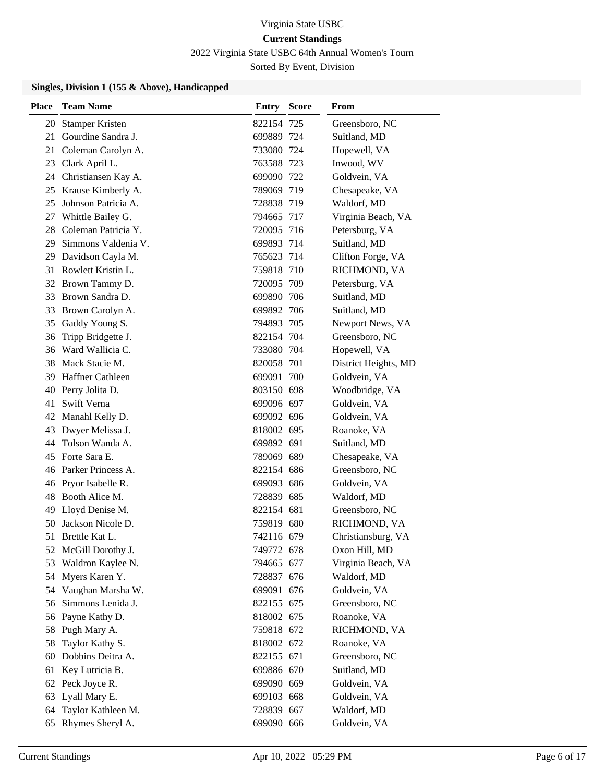2022 Virginia State USBC 64th Annual Women's Tourn

Sorted By Event, Division

## **Singles, Division 1 (155 & Above), Handicapped**

| <b>Place</b> | <b>Team Name</b>        | <b>Entry Score</b> | From                 |
|--------------|-------------------------|--------------------|----------------------|
| 20           | <b>Stamper Kristen</b>  | 822154 725         | Greensboro, NC       |
| 21           | Gourdine Sandra J.      | 699889 724         | Suitland, MD         |
| 21           | Coleman Carolyn A.      | 733080 724         | Hopewell, VA         |
| 23           | Clark April L.          | 763588 723         | Inwood, WV           |
| 24           | Christiansen Kay A.     | 699090 722         | Goldvein, VA         |
|              | 25 Krause Kimberly A.   | 789069 719         | Chesapeake, VA       |
| 25           | Johnson Patricia A.     | 728838 719         | Waldorf, MD          |
| 27           | Whittle Bailey G.       | 794665 717         | Virginia Beach, VA   |
| 28           | Coleman Patricia Y.     | 720095 716         | Petersburg, VA       |
| 29           | Simmons Valdenia V.     | 699893 714         | Suitland, MD         |
| 29           | Davidson Cayla M.       | 765623 714         | Clifton Forge, VA    |
| 31           | Rowlett Kristin L.      | 759818 710         | RICHMOND, VA         |
|              | 32 Brown Tammy D.       | 720095 709         | Petersburg, VA       |
|              | 33 Brown Sandra D.      | 699890 706         | Suitland, MD         |
| 33           | Brown Carolyn A.        | 699892 706         | Suitland, MD         |
| 35           | Gaddy Young S.          | 794893 705         | Newport News, VA     |
| 36           | Tripp Bridgette J.      | 822154 704         | Greensboro, NC       |
|              | 36 Ward Wallicia C.     | 733080 704         | Hopewell, VA         |
|              | 38 Mack Stacie M.       | 820058 701         | District Heights, MD |
| 39           | <b>Haffner Cathleen</b> | 699091 700         | Goldvein, VA         |
| 40           | Perry Jolita D.         | 803150 698         | Woodbridge, VA       |
| 41           | Swift Verna             | 699096 697         | Goldvein, VA         |
|              | 42 Manahl Kelly D.      | 699092 696         | Goldvein, VA         |
| 43           | Dwyer Melissa J.        | 818002 695         | Roanoke, VA          |
| 44           | Tolson Wanda A.         | 699892 691         | Suitland, MD         |
| 45           | Forte Sara E.           | 789069 689         | Chesapeake, VA       |
|              | 46 Parker Princess A.   | 822154 686         | Greensboro, NC       |
| 46           | Pryor Isabelle R.       | 699093 686         | Goldvein, VA         |
| 48           | Booth Alice M.          | 728839 685         | Waldorf, MD          |
| 49           | Lloyd Denise M.         | 822154 681         | Greensboro, NC       |
| 50           | Jackson Nicole D.       | 759819 680         | RICHMOND, VA         |
| 51           | Brettle Kat L.          | 742116 679         | Christiansburg, VA   |
|              | 52 McGill Dorothy J.    | 749772 678         | Oxon Hill, MD        |
| 53           | Waldron Kaylee N.       | 794665 677         | Virginia Beach, VA   |
| 54           | Myers Karen Y.          | 728837 676         | Waldorf, MD          |
| 54           | Vaughan Marsha W.       | 699091 676         | Goldvein, VA         |
| 56           | Simmons Lenida J.       | 822155 675         | Greensboro, NC       |
| 56           | Payne Kathy D.          | 818002 675         | Roanoke, VA          |
| 58           | Pugh Mary A.            | 759818 672         | RICHMOND, VA         |
| 58           | Taylor Kathy S.         | 818002 672         | Roanoke, VA          |
| 60           | Dobbins Deitra A.       | 822155 671         | Greensboro, NC       |
| 61           | Key Lutricia B.         | 699886 670         | Suitland, MD         |
|              | 62 Peck Joyce R.        | 699090 669         | Goldvein, VA         |
| 63           | Lyall Mary E.           | 699103 668         | Goldvein, VA         |
| 64           | Taylor Kathleen M.      | 728839 667         | Waldorf, MD          |
| 65           | Rhymes Sheryl A.        | 699090 666         | Goldvein, VA         |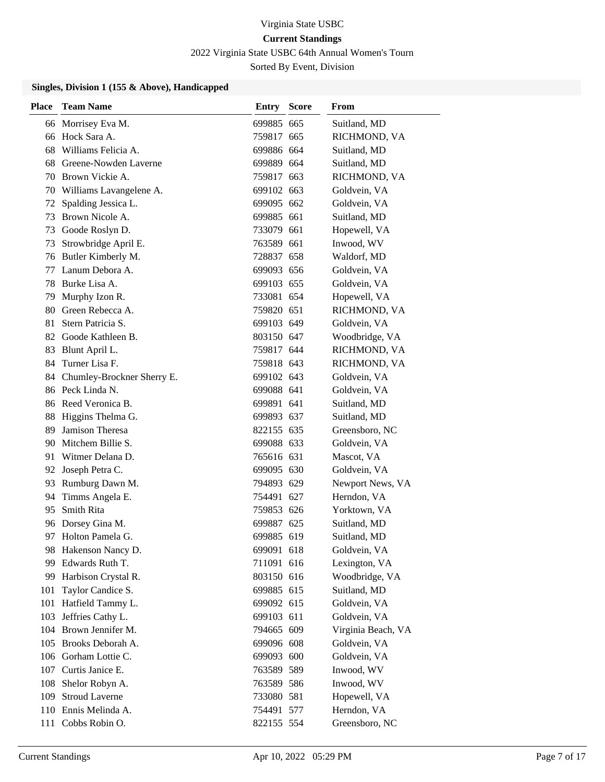2022 Virginia State USBC 64th Annual Women's Tourn

Sorted By Event, Division

## **Singles, Division 1 (155 & Above), Handicapped**

| <b>Place</b> | <b>Team Name</b>           | <b>Entry Score</b> | From               |
|--------------|----------------------------|--------------------|--------------------|
|              | 66 Morrisey Eva M.         | 699885 665         | Suitland, MD       |
|              | 66 Hock Sara A.            | 759817 665         | RICHMOND, VA       |
| 68           | Williams Felicia A.        | 699886 664         | Suitland, MD       |
| 68           | Greene-Nowden Laverne      | 699889 664         | Suitland, MD       |
| 70           | Brown Vickie A.            | 759817 663         | RICHMOND, VA       |
| 70           | Williams Lavangelene A.    | 699102 663         | Goldvein, VA       |
| 72           | Spalding Jessica L.        | 699095 662         | Goldvein, VA       |
| 73           | Brown Nicole A.            | 699885 661         | Suitland, MD       |
| 73           | Goode Roslyn D.            | 733079 661         | Hopewell, VA       |
| 73           | Strowbridge April E.       | 763589 661         | Inwood, WV         |
| 76           | Butler Kimberly M.         | 728837 658         | Waldorf, MD        |
| 77           | Lanum Debora A.            | 699093 656         | Goldvein, VA       |
| 78           | Burke Lisa A.              | 699103 655         | Goldvein, VA       |
| 79           | Murphy Izon R.             | 733081 654         | Hopewell, VA       |
| 80           | Green Rebecca A.           | 759820 651         | RICHMOND, VA       |
| 81           | Stern Patricia S.          | 699103 649         | Goldvein, VA       |
| 82           | Goode Kathleen B.          | 803150 647         | Woodbridge, VA     |
| 83           | Blunt April L.             | 759817 644         | RICHMOND, VA       |
| 84           | Turner Lisa F.             | 759818 643         | RICHMOND, VA       |
| 84           | Chumley-Brockner Sherry E. | 699102 643         | Goldvein, VA       |
|              | 86 Peck Linda N.           | 699088 641         | Goldvein, VA       |
|              | 86 Reed Veronica B.        | 699891 641         | Suitland, MD       |
| 88           | Higgins Thelma G.          | 699893 637         | Suitland, MD       |
| 89           | Jamison Theresa            | 822155 635         | Greensboro, NC     |
| 90           | Mitchem Billie S.          | 699088 633         | Goldvein, VA       |
| 91           | Witmer Delana D.           | 765616 631         | Mascot, VA         |
| 92           | Joseph Petra C.            | 699095 630         | Goldvein, VA       |
| 93           | Rumburg Dawn M.            | 794893 629         | Newport News, VA   |
| 94           | Timms Angela E.            | 754491 627         | Herndon, VA        |
| 95           | Smith Rita                 | 759853 626         | Yorktown, VA       |
| 96           | Dorsey Gina M.             | 699887 625         | Suitland, MD       |
|              | 97 Holton Pamela G.        | 699885 619         | Suitland, MD       |
|              | 98 Hakenson Nancy D.       | 699091 618         | Goldvein, VA       |
| 99           | Edwards Ruth T.            | 711091 616         | Lexington, VA      |
| 99           | Harbison Crystal R.        | 803150 616         | Woodbridge, VA     |
| 101          | Taylor Candice S.          | 699885 615         | Suitland, MD       |
| 101          | Hatfield Tammy L.          | 699092 615         | Goldvein, VA       |
| 103          | Jeffries Cathy L.          | 699103 611         | Goldvein, VA       |
| 104          | Brown Jennifer M.          | 794665 609         | Virginia Beach, VA |
| 105          | Brooks Deborah A.          | 699096 608         | Goldvein, VA       |
|              | 106 Gorham Lottie C.       | 699093 600         | Goldvein, VA       |
|              | 107 Curtis Janice E.       | 763589 589         | Inwood, WV         |
| 108          | Shelor Robyn A.            | 763589 586         | Inwood, WV         |
| 109          | <b>Stroud Laverne</b>      | 733080 581         | Hopewell, VA       |
| 110          | Ennis Melinda A.           | 754491 577         | Herndon, VA        |
| 111          | Cobbs Robin O.             | 822155 554         | Greensboro, NC     |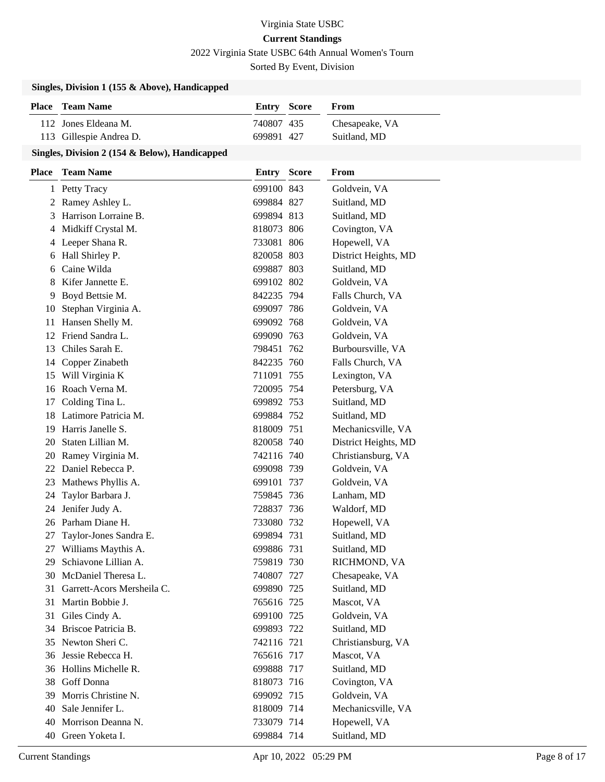2022 Virginia State USBC 64th Annual Women's Tourn

Sorted By Event, Division

#### **Singles, Division 1 (155 & Above), Handicapped**

| <b>Place</b> Team Name  | <b>Entry Score</b> | From           |
|-------------------------|--------------------|----------------|
| 112 Jones Eldeana M.    | 740807 435         | Chesapeake, VA |
| 113 Gillespie Andrea D. | 699891 427         | Suitland, MD   |

#### **Singles, Division 2 (154 & Below), Handicapped**

| <b>Place</b> | <b>Team Name</b>           | Entry      | <b>Score</b> | From                 |
|--------------|----------------------------|------------|--------------|----------------------|
|              | 1 Petty Tracy              | 699100 843 |              | Goldvein, VA         |
|              | 2 Ramey Ashley L.          | 699884 827 |              | Suitland, MD         |
| 3            | Harrison Lorraine B.       | 699894 813 |              | Suitland, MD         |
| 4            | Midkiff Crystal M.         | 818073 806 |              | Covington, VA        |
|              | 4 Leeper Shana R.          | 733081 806 |              | Hopewell, VA         |
| 6            | Hall Shirley P.            | 820058 803 |              | District Heights, MD |
| 6            | Caine Wilda                | 699887 803 |              | Suitland, MD         |
| 8            | Kifer Jannette E.          | 699102 802 |              | Goldvein, VA         |
|              | 9 Boyd Bettsie M.          | 842235 794 |              | Falls Church, VA     |
| 10           | Stephan Virginia A.        | 699097 786 |              | Goldvein, VA         |
| 11           | Hansen Shelly M.           | 699092 768 |              | Goldvein, VA         |
|              | 12 Friend Sandra L.        | 699090 763 |              | Goldvein, VA         |
|              | 13 Chiles Sarah E.         | 798451 762 |              | Burboursville, VA    |
| 14           | Copper Zinabeth            | 842235 760 |              | Falls Church, VA     |
| 15           | Will Virginia K            | 711091 755 |              | Lexington, VA        |
| 16           | Roach Verna M.             | 720095 754 |              | Petersburg, VA       |
| 17           | Colding Tina L.            | 699892 753 |              | Suitland, MD         |
| 18           | Latimore Patricia M.       | 699884 752 |              | Suitland, MD         |
| 19           | Harris Janelle S.          | 818009 751 |              | Mechanicsville, VA   |
| 20           | Staten Lillian M.          | 820058 740 |              | District Heights, MD |
|              | 20 Ramey Virginia M.       | 742116 740 |              | Christiansburg, VA   |
|              | 22 Daniel Rebecca P.       | 699098 739 |              | Goldvein, VA         |
| 23           | Mathews Phyllis A.         | 699101 737 |              | Goldvein, VA         |
| 24           | Taylor Barbara J.          | 759845 736 |              | Lanham, MD           |
| 24           | Jenifer Judy A.            | 728837 736 |              | Waldorf, MD          |
|              | 26 Parham Diane H.         | 733080 732 |              | Hopewell, VA         |
| 27           | Taylor-Jones Sandra E.     | 699894 731 |              | Suitland, MD         |
| 27           | Williams Maythis A.        | 699886 731 |              | Suitland, MD         |
| 29           | Schiavone Lillian A.       | 759819 730 |              | RICHMOND, VA         |
| 30           | McDaniel Theresa L.        | 740807 727 |              | Chesapeake, VA       |
| 31           | Garrett-Acors Mersheila C. | 699890 725 |              | Suitland, MD         |
| 31           | Martin Bobbie J.           | 765616 725 |              | Mascot, VA           |
|              | 31 Giles Cindy A.          | 699100 725 |              | Goldvein, VA         |
|              | 34 Briscoe Patricia B.     | 699893 722 |              | Suitland, MD         |
| 35           | Newton Sheri C.            | 742116 721 |              | Christiansburg, VA   |
| 36           | Jessie Rebecca H.          | 765616 717 |              | Mascot, VA           |
|              | 36 Hollins Michelle R.     | 699888 717 |              | Suitland, MD         |
| 38           | Goff Donna                 | 818073 716 |              | Covington, VA        |
| 39           | Morris Christine N.        | 699092 715 |              | Goldvein, VA         |
| 40           | Sale Jennifer L.           | 818009 714 |              | Mechanicsville, VA   |
| 40           | Morrison Deanna N.         | 733079 714 |              | Hopewell, VA         |
| 40           | Green Yoketa I.            | 699884 714 |              | Suitland, MD         |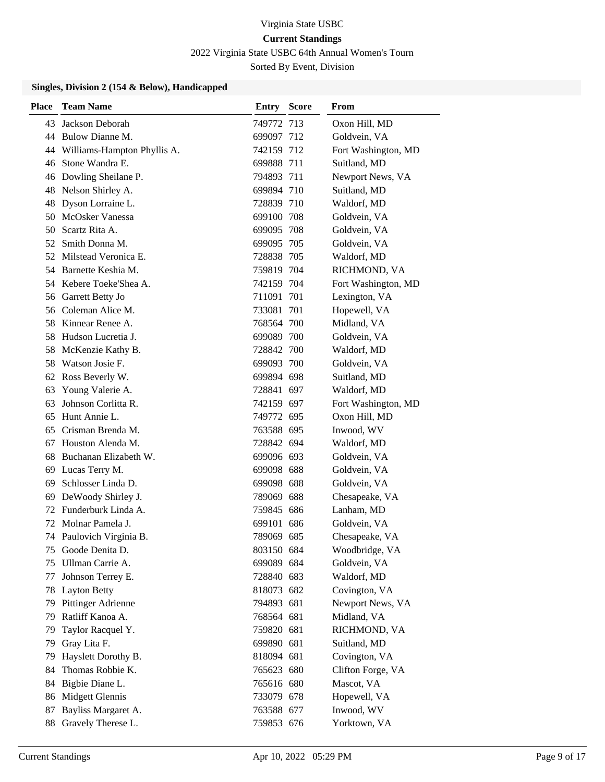2022 Virginia State USBC 64th Annual Women's Tourn

Sorted By Event, Division

#### **Singles, Division 2 (154 & Below), Handicapped**

| <b>Place</b> | <b>Team Name</b>               | Entry      | <b>Score</b> | From                |
|--------------|--------------------------------|------------|--------------|---------------------|
| 43           | Jackson Deborah                | 749772 713 |              | Oxon Hill, MD       |
|              | 44 Bulow Dianne M.             | 699097 712 |              | Goldvein, VA        |
|              | 44 Williams-Hampton Phyllis A. | 742159 712 |              | Fort Washington, MD |
| 46           | Stone Wandra E.                | 699888 711 |              | Suitland, MD        |
|              | 46 Dowling Sheilane P.         | 794893 711 |              | Newport News, VA    |
| 48           | Nelson Shirley A.              | 699894 710 |              | Suitland, MD        |
|              | 48 Dyson Lorraine L.           | 728839 710 |              | Waldorf, MD         |
|              | 50 McOsker Vanessa             | 699100 708 |              | Goldvein, VA        |
|              | 50 Scartz Rita A.              | 699095 708 |              | Goldvein, VA        |
|              | 52 Smith Donna M.              | 699095 705 |              | Goldvein, VA        |
|              | 52 Milstead Veronica E.        | 728838 705 |              | Waldorf, MD         |
|              | 54 Barnette Keshia M.          | 759819 704 |              | RICHMOND, VA        |
|              | 54 Kebere Toeke'Shea A.        | 742159 704 |              | Fort Washington, MD |
|              | 56 Garrett Betty Jo            | 711091 701 |              | Lexington, VA       |
|              | 56 Coleman Alice M.            | 733081 701 |              | Hopewell, VA        |
|              | 58 Kinnear Renee A.            | 768564 700 |              | Midland, VA         |
| 58           | Hudson Lucretia J.             | 699089 700 |              | Goldvein, VA        |
| 58.          | McKenzie Kathy B.              | 728842 700 |              | Waldorf, MD         |
|              | 58 Watson Josie F.             | 699093 700 |              | Goldvein, VA        |
|              | 62 Ross Beverly W.             | 699894 698 |              | Suitland, MD        |
| 63           | Young Valerie A.               | 728841 697 |              | Waldorf, MD         |
| 63           | Johnson Corlitta R.            | 742159 697 |              | Fort Washington, MD |
| 65           | Hunt Annie L.                  | 749772 695 |              | Oxon Hill, MD       |
| 65           | Crisman Brenda M.              | 763588 695 |              | Inwood, WV          |
| 67           | Houston Alenda M.              | 728842 694 |              | Waldorf, MD         |
|              | 68 Buchanan Elizabeth W.       | 699096 693 |              | Goldvein, VA        |
|              | 69 Lucas Terry M.              | 699098 688 |              | Goldvein, VA        |
| 69           | Schlosser Linda D.             | 699098 688 |              | Goldvein, VA        |
| 69           | DeWoody Shirley J.             | 789069 688 |              | Chesapeake, VA      |
|              | 72 Funderburk Linda A.         | 759845 686 |              | Lanham, MD          |
| 72           | Molnar Pamela J.               | 699101 686 |              | Goldvein, VA        |
|              | 74 Paulovich Virginia B.       | 789069 685 |              | Chesapeake, VA      |
| 75.          | Goode Denita D.                | 803150 684 |              | Woodbridge, VA      |
| 75           | Ullman Carrie A.               | 699089 684 |              | Goldvein, VA        |
| 77           | Johnson Terrey E.              | 728840 683 |              | Waldorf, MD         |
| 78           | <b>Layton Betty</b>            | 818073 682 |              | Covington, VA       |
| 79           | Pittinger Adrienne             | 794893 681 |              | Newport News, VA    |
| 79           | Ratliff Kanoa A.               | 768564 681 |              | Midland, VA         |
| 79           | Taylor Racquel Y.              | 759820 681 |              | RICHMOND, VA        |
| 79           | Gray Lita F.                   | 699890 681 |              | Suitland, MD        |
| 79           | Hayslett Dorothy B.            | 818094 681 |              | Covington, VA       |
| 84           | Thomas Robbie K.               | 765623 680 |              | Clifton Forge, VA   |
| 84           | Bigbie Diane L.                | 765616 680 |              | Mascot, VA          |
| 86           | Midgett Glennis                | 733079 678 |              | Hopewell, VA        |
| 87           | Bayliss Margaret A.            | 763588 677 |              | Inwood, WV          |
| 88           | Gravely Therese L.             | 759853 676 |              | Yorktown, VA        |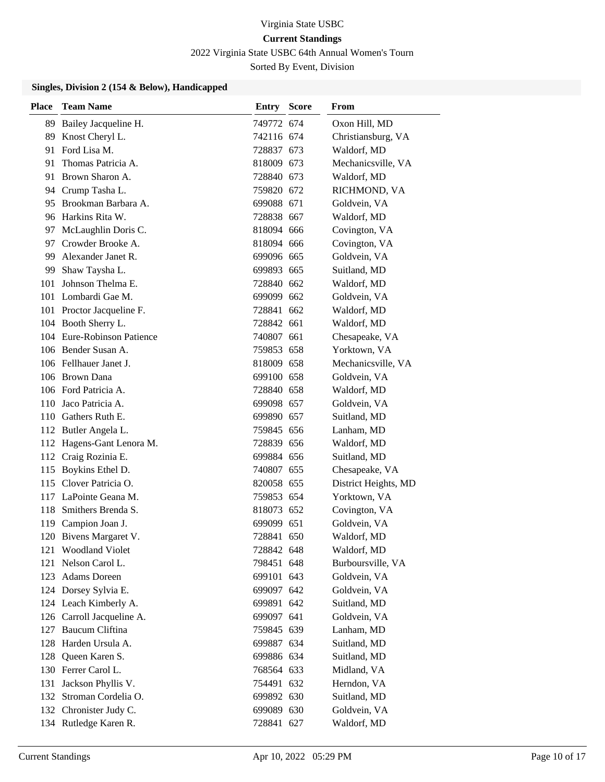2022 Virginia State USBC 64th Annual Women's Tourn

Sorted By Event, Division

#### **Singles, Division 2 (154 & Below), Handicapped**

| Place | <b>Team Name</b>           | <b>Entry Score</b> | From                 |
|-------|----------------------------|--------------------|----------------------|
|       | 89 Bailey Jacqueline H.    | 749772 674         | Oxon Hill, MD        |
| 89    | Knost Cheryl L.            | 742116 674         | Christiansburg, VA   |
|       | 91 Ford Lisa M.            | 728837 673         | Waldorf, MD          |
| 91    | Thomas Patricia A.         | 818009 673         | Mechanicsville, VA   |
|       | 91 Brown Sharon A.         | 728840 673         | Waldorf, MD          |
|       | 94 Crump Tasha L.          | 759820 672         | RICHMOND, VA         |
|       | 95 Brookman Barbara A.     | 699088 671         | Goldvein, VA         |
|       | 96 Harkins Rita W.         | 728838 667         | Waldorf, MD          |
| 97    | McLaughlin Doris C.        | 818094 666         | Covington, VA        |
| 97    | Crowder Brooke A.          | 818094 666         | Covington, VA        |
|       | 99 Alexander Janet R.      | 699096 665         | Goldvein, VA         |
| 99.   | Shaw Taysha L.             | 699893 665         | Suitland, MD         |
|       | 101 Johnson Thelma E.      | 728840 662         | Waldorf, MD          |
|       | 101 Lombardi Gae M.        | 699099 662         | Goldvein, VA         |
|       | 101 Proctor Jacqueline F.  | 728841 662         | Waldorf, MD          |
|       | 104 Booth Sherry L.        | 728842 661         | Waldorf, MD          |
|       | 104 Eure-Robinson Patience | 740807 661         | Chesapeake, VA       |
|       | 106 Bender Susan A.        | 759853 658         | Yorktown, VA         |
|       | 106 Fellhauer Janet J.     | 818009 658         | Mechanicsville, VA   |
|       | 106 Brown Dana             | 699100 658         | Goldvein, VA         |
|       | 106 Ford Patricia A.       | 728840 658         | Waldorf, MD          |
|       | 110 Jaco Patricia A.       | 699098 657         | Goldvein, VA         |
|       | 110 Gathers Ruth E.        | 699890 657         | Suitland, MD         |
|       | 112 Butler Angela L.       | 759845 656         | Lanham, MD           |
|       | 112 Hagens-Gant Lenora M.  | 728839 656         | Waldorf, MD          |
|       | 112 Craig Rozinia E.       | 699884 656         | Suitland, MD         |
|       | 115 Boykins Ethel D.       | 740807 655         | Chesapeake, VA       |
|       | 115 Clover Patricia O.     | 820058 655         | District Heights, MD |
|       | 117 LaPointe Geana M.      | 759853 654         | Yorktown, VA         |
|       | 118 Smithers Brenda S.     | 818073 652         | Covington, VA        |
|       | 119 Campion Joan J.        | 699099 651         | Goldvein, VA         |
|       | 120 Bivens Margaret V.     | 728841 650         | Waldorf, MD          |
|       | 121 Woodland Violet        | 728842 648         | Waldorf, MD          |
| 121   | Nelson Carol L.            | 798451 648         | Burboursville, VA    |
|       | 123 Adams Doreen           | 699101 643         | Goldvein, VA         |
|       | 124 Dorsey Sylvia E.       | 699097 642         | Goldvein, VA         |
|       | 124 Leach Kimberly A.      | 699891 642         | Suitland, MD         |
|       | 126 Carroll Jacqueline A.  | 699097 641         | Goldvein, VA         |
|       | 127 Baucum Cliftina        | 759845 639         | Lanham, MD           |
| 128   | Harden Ursula A.           | 699887 634         | Suitland, MD         |
| 128   | Queen Karen S.             | 699886 634         | Suitland, MD         |
|       | 130 Ferrer Carol L.        | 768564 633         | Midland, VA          |
| 131   | Jackson Phyllis V.         | 754491 632         | Herndon, VA          |
| 132   | Stroman Cordelia O.        | 699892 630         | Suitland, MD         |
|       | 132 Chronister Judy C.     | 699089 630         | Goldvein, VA         |
|       | 134 Rutledge Karen R.      | 728841 627         | Waldorf, MD          |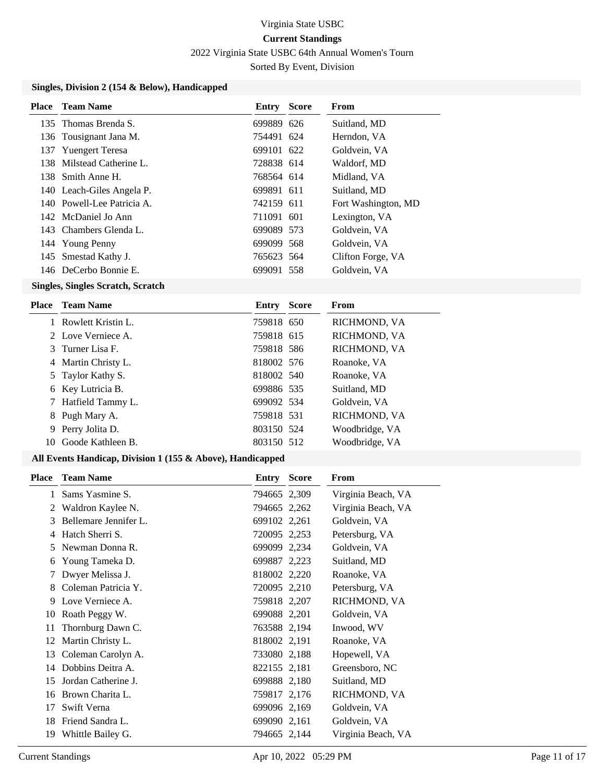2022 Virginia State USBC 64th Annual Women's Tourn

Sorted By Event, Division

#### **Singles, Division 2 (154 & Below), Handicapped**

| Place | - Team Name                | Entry      | <b>Score</b> | From                |
|-------|----------------------------|------------|--------------|---------------------|
|       | 135 Thomas Brenda S.       | 699889 626 |              | Suitland, MD        |
|       | 136 Tousignant Jana M.     | 754491 624 |              | Herndon, VA         |
| 137   | <b>Yuengert Teresa</b>     | 699101 622 |              | Goldvein, VA        |
|       | 138 Milstead Catherine L.  | 728838 614 |              | Waldorf, MD         |
|       | 138 Smith Anne H.          | 768564 614 |              | Midland, VA         |
|       | 140 Leach-Giles Angela P.  | 699891 611 |              | Suitland, MD        |
|       | 140 Powell-Lee Patricia A. | 742159 611 |              | Fort Washington, MD |
|       | 142 McDaniel Jo Ann        | 711091 601 |              | Lexington, VA       |
|       | 143 Chambers Glenda L.     | 699089 573 |              | Goldvein, VA        |
|       | 144 Young Penny            | 699099 568 |              | Goldvein, VA        |
| 145   | Smestad Kathy J.           | 765623 564 |              | Clifton Forge, VA   |
|       | 146 DeCerbo Bonnie E.      | 699091 558 |              | Goldvein, VA        |
|       |                            |            |              |                     |

#### **Singles, Singles Scratch, Scratch**

|    | <b>Place</b> Team Name | Entry      | <b>Score</b> | From           |
|----|------------------------|------------|--------------|----------------|
|    | 1 Rowlett Kristin L.   | 759818 650 |              | RICHMOND, VA   |
|    | 2 Love Verniece A.     | 759818 615 |              | RICHMOND, VA   |
|    | 3 Turner Lisa F.       | 759818 586 |              | RICHMOND, VA   |
|    | 4 Martin Christy L.    | 818002 576 |              | Roanoke, VA    |
|    | 5 Taylor Kathy S.      | 818002 540 |              | Roanoke, VA    |
|    | 6 Key Lutricia B.      | 699886 535 |              | Suitland, MD   |
|    | 7 Hatfield Tammy L.    | 699092 534 |              | Goldvein, VA   |
|    | 8 Pugh Mary A.         | 759818 531 |              | RICHMOND, VA   |
| 9  | Perry Jolita D.        | 803150 524 |              | Woodbridge, VA |
| 10 | Goode Kathleen B.      | 803150 512 |              | Woodbridge, VA |
|    |                        |            |              |                |

## **All Events Handicap, Division 1 (155 & Above), Handicapped**

| <b>Place</b> | <b>Team Name</b>      | <b>Entry Score</b> | From               |
|--------------|-----------------------|--------------------|--------------------|
| 1            | Sams Yasmine S.       | 794665 2,309       | Virginia Beach, VA |
| 2            | Waldron Kaylee N.     | 794665 2,262       | Virginia Beach, VA |
| 3            | Bellemare Jennifer L. | 699102 2,261       | Goldvein, VA       |
| 4            | Hatch Sherri S.       | 720095 2,253       | Petersburg, VA     |
| 5            | Newman Donna R.       | 699099 2,234       | Goldvein, VA       |
| 6            | Young Tameka D.       | 699887 2,223       | Suitland, MD       |
| 7            | Dwyer Melissa J.      | 818002 2,220       | Roanoke, VA        |
| 8            | Coleman Patricia Y.   | 720095 2,210       | Petersburg, VA     |
| 9            | Love Verniece A.      | 759818 2,207       | RICHMOND, VA       |
| 10           | Roath Peggy W.        | 699088 2,201       | Goldvein, VA       |
| 11           | Thornburg Dawn C.     | 763588 2,194       | Inwood, WV         |
| 12           | Martin Christy L.     | 818002 2,191       | Roanoke, VA        |
| 13           | Coleman Carolyn A.    | 733080 2,188       | Hopewell, VA       |
| 14           | Dobbins Deitra A.     | 822155 2,181       | Greensboro, NC     |
| 15           | Jordan Catherine J.   | 699888 2,180       | Suitland, MD       |
| 16           | Brown Charita L.      | 759817 2,176       | RICHMOND, VA       |
| 17           | Swift Verna           | 699096 2,169       | Goldvein, VA       |
| 18           | Friend Sandra L.      | 699090 2,161       | Goldvein, VA       |
| 19           | Whittle Bailey G.     | 794665 2,144       | Virginia Beach, VA |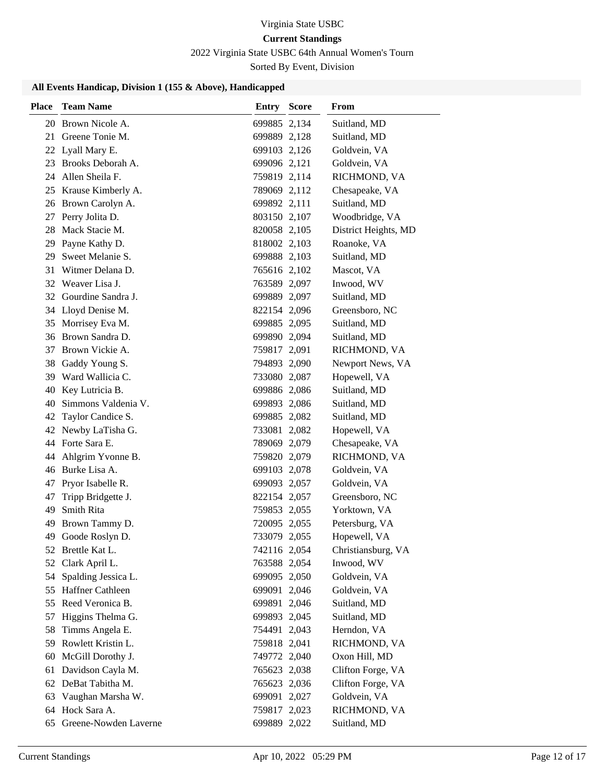# Virginia State USBC

# **Current Standings**

2022 Virginia State USBC 64th Annual Women's Tourn

Sorted By Event, Division

#### **All Events Handicap, Division 1 (155 & Above), Handicapped**

| Place    | <b>Team Name</b>                      | Entry        | <b>Score</b> | <b>From</b>          |
|----------|---------------------------------------|--------------|--------------|----------------------|
| 20       | Brown Nicole A.                       | 699885 2,134 |              | Suitland, MD         |
| 21       | Greene Tonie M.                       | 699889 2,128 |              | Suitland, MD         |
|          | 22 Lyall Mary E.                      | 699103 2,126 |              | Goldvein, VA         |
| 23       | Brooks Deborah A.                     | 699096 2,121 |              | Goldvein, VA         |
| 24       | Allen Sheila F.                       | 759819 2,114 |              | RICHMOND, VA         |
| 25       | Krause Kimberly A.                    | 789069 2,112 |              | Chesapeake, VA       |
|          | 26 Brown Carolyn A.                   | 699892 2,111 |              | Suitland, MD         |
| 27       | Perry Jolita D.                       | 803150 2,107 |              | Woodbridge, VA       |
| 28       | Mack Stacie M.                        | 820058 2,105 |              | District Heights, MD |
| 29       | Payne Kathy D.                        | 818002 2,103 |              | Roanoke, VA          |
| 29       | Sweet Melanie S.                      | 699888 2,103 |              | Suitland, MD         |
| 31       | Witmer Delana D.                      | 765616 2,102 |              | Mascot, VA           |
| 32       | Weaver Lisa J.                        | 763589 2,097 |              | Inwood, WV           |
|          | 32 Gourdine Sandra J.                 | 699889 2,097 |              | Suitland, MD         |
|          | 34 Lloyd Denise M.                    | 822154 2,096 |              | Greensboro, NC       |
| 35       | Morrisey Eva M.                       | 699885 2,095 |              | Suitland, MD         |
| 36       | Brown Sandra D.                       | 699890 2,094 |              | Suitland, MD         |
| 37       | Brown Vickie A.                       | 759817 2,091 |              | RICHMOND, VA         |
| 38       | Gaddy Young S.                        | 794893 2,090 |              | Newport News, VA     |
| 39       | Ward Wallicia C.                      | 733080 2,087 |              | Hopewell, VA         |
| 40       | Key Lutricia B.                       | 699886 2,086 |              | Suitland, MD         |
| 40       | Simmons Valdenia V.                   | 699893 2,086 |              | Suitland, MD         |
| 42       | Taylor Candice S.                     | 699885 2,082 |              | Suitland, MD         |
| 42       | Newby LaTisha G.                      | 733081 2,082 |              | Hopewell, VA         |
| 44       | Forte Sara E.                         | 789069 2,079 |              | Chesapeake, VA       |
| 44       | Ahlgrim Yvonne B.                     | 759820 2,079 |              | RICHMOND, VA         |
| 46       | Burke Lisa A.                         | 699103 2,078 |              | Goldvein, VA         |
| 47       | Pryor Isabelle R.                     | 699093 2,057 |              | Goldvein, VA         |
| 47       | Tripp Bridgette J.                    | 822154 2,057 |              | Greensboro, NC       |
| 49       | <b>Smith Rita</b>                     | 759853 2,055 |              | Yorktown, VA         |
| 49       | Brown Tammy D.                        | 720095 2,055 |              | Petersburg, VA       |
| 49       | Goode Roslyn D.                       | 733079 2,055 |              | Hopewell, VA         |
| 52       | Brettle Kat L.                        | 742116 2,054 |              | Christiansburg, VA   |
| 52       | Clark April L.                        | 763588 2,054 |              | Inwood, WV           |
| 54       | Spalding Jessica L.                   | 699095 2,050 |              | Goldvein, VA         |
| 55       | Haffner Cathleen                      | 699091 2,046 |              | Goldvein, VA         |
| 55       | Reed Veronica B.                      | 699891 2,046 |              | Suitland, MD         |
| 57       | Higgins Thelma G.                     | 699893 2,045 |              | Suitland, MD         |
| 58       | Timms Angela E.                       | 754491 2,043 |              | Herndon, VA          |
| 59       | Rowlett Kristin L.                    | 759818 2,041 |              | RICHMOND, VA         |
| 60       | McGill Dorothy J.                     | 749772 2,040 |              | Oxon Hill, MD        |
| 61       | Davidson Cayla M.<br>DeBat Tabitha M. | 765623 2,038 |              | Clifton Forge, VA    |
| 62       |                                       | 765623 2,036 |              | Clifton Forge, VA    |
| 63<br>64 | Vaughan Marsha W.<br>Hock Sara A.     | 699091 2,027 |              | Goldvein, VA         |
|          | Greene-Nowden Laverne                 | 759817 2,023 |              | RICHMOND, VA         |
| 65       |                                       | 699889 2,022 |              | Suitland, MD         |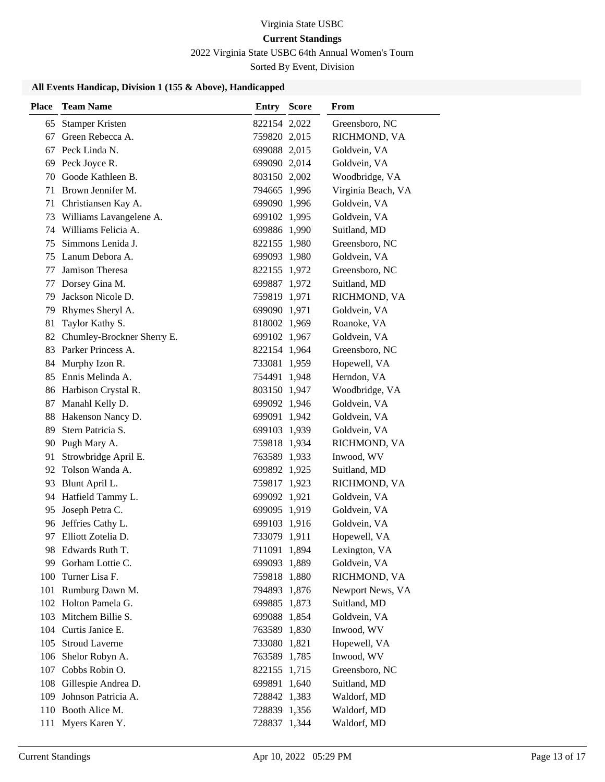# Virginia State USBC

# **Current Standings**

2022 Virginia State USBC 64th Annual Women's Tourn

Sorted By Event, Division

#### **All Events Handicap, Division 1 (155 & Above), Handicapped**

| <b>Place</b> | <b>Team Name</b>           | <b>Entry Score</b> | <b>From</b>        |
|--------------|----------------------------|--------------------|--------------------|
| 65           | <b>Stamper Kristen</b>     | 822154 2,022       | Greensboro, NC     |
| 67           | Green Rebecca A.           | 759820 2,015       | RICHMOND, VA       |
|              | 67 Peck Linda N.           | 699088 2,015       | Goldvein, VA       |
|              | 69 Peck Joyce R.           | 699090 2,014       | Goldvein, VA       |
| 70           | Goode Kathleen B.          | 803150 2,002       | Woodbridge, VA     |
|              | 71 Brown Jennifer M.       | 794665 1,996       | Virginia Beach, VA |
|              | 71 Christiansen Kay A.     | 699090 1,996       | Goldvein, VA       |
| 73           | Williams Lavangelene A.    | 699102 1,995       | Goldvein, VA       |
|              | 74 Williams Felicia A.     | 699886 1,990       | Suitland, MD       |
| 75           | Simmons Lenida J.          | 822155 1,980       | Greensboro, NC     |
|              | 75 Lanum Debora A.         | 699093 1,980       | Goldvein, VA       |
| 77           | Jamison Theresa            | 822155 1,972       | Greensboro, NC     |
| 77           | Dorsey Gina M.             | 699887 1,972       | Suitland, MD       |
| 79           | Jackson Nicole D.          | 759819 1,971       | RICHMOND, VA       |
|              | 79 Rhymes Sheryl A.        | 699090 1,971       | Goldvein, VA       |
| 81           | Taylor Kathy S.            | 818002 1,969       | Roanoke, VA        |
| 82           | Chumley-Brockner Sherry E. | 699102 1,967       | Goldvein, VA       |
|              | 83 Parker Princess A.      | 822154 1,964       | Greensboro, NC     |
|              | 84 Murphy Izon R.          | 733081 1,959       | Hopewell, VA       |
|              | 85 Ennis Melinda A.        | 754491 1,948       | Herndon, VA        |
|              | 86 Harbison Crystal R.     | 803150 1,947       | Woodbridge, VA     |
|              | 87 Manahl Kelly D.         | 699092 1,946       | Goldvein, VA       |
|              | 88 Hakenson Nancy D.       | 699091 1,942       | Goldvein, VA       |
| 89           | Stern Patricia S.          | 699103 1,939       | Goldvein, VA       |
| 90           | Pugh Mary A.               | 759818 1,934       | RICHMOND, VA       |
| 91           | Strowbridge April E.       | 763589 1,933       | Inwood, WV         |
| 92           | Tolson Wanda A.            | 699892 1,925       | Suitland, MD       |
| 93           | Blunt April L.             | 759817 1,923       | RICHMOND, VA       |
| 94           | Hatfield Tammy L.          | 699092 1,921       | Goldvein, VA       |
| 95           | Joseph Petra C.            | 699095 1,919       | Goldvein, VA       |
|              | 96 Jeffries Cathy L.       | 699103 1,916       | Goldvein, VA       |
| 97           | Elliott Zotelia D.         | 733079 1,911       | Hopewell, VA       |
|              | 98 Edwards Ruth T.         | 711091 1,894       | Lexington, VA      |
| 99           | Gorham Lottie C.           | 699093 1,889       | Goldvein, VA       |
| 100          | Turner Lisa F.             | 759818 1,880       | RICHMOND, VA       |
|              | 101 Rumburg Dawn M.        | 794893 1,876       | Newport News, VA   |
|              | 102 Holton Pamela G.       | 699885 1,873       | Suitland, MD       |
|              | 103 Mitchem Billie S.      | 699088 1,854       | Goldvein, VA       |
|              | 104 Curtis Janice E.       | 763589 1,830       | Inwood, WV         |
| 105          | <b>Stroud Laverne</b>      | 733080 1,821       | Hopewell, VA       |
|              | 106 Shelor Robyn A.        | 763589 1,785       | Inwood, WV         |
|              | 107 Cobbs Robin O.         | 822155 1,715       | Greensboro, NC     |
|              | 108 Gillespie Andrea D.    | 699891 1,640       | Suitland, MD       |
| 109          | Johnson Patricia A.        | 728842 1,383       | Waldorf, MD        |
|              | 110 Booth Alice M.         | 728839 1,356       | Waldorf, MD        |
|              | 111 Myers Karen Y.         | 728837 1,344       | Waldorf, MD        |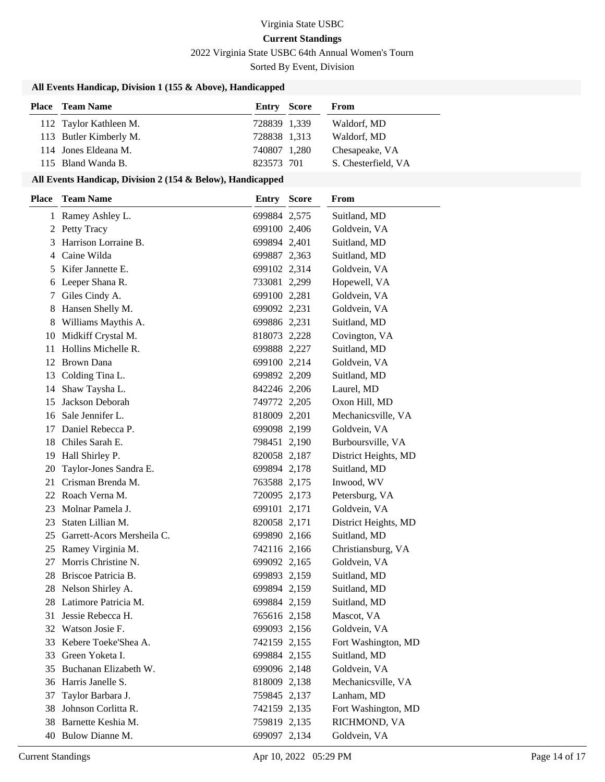2022 Virginia State USBC 64th Annual Women's Tourn

Sorted By Event, Division

#### **All Events Handicap, Division 1 (155 & Above), Handicapped**

| <b>Place</b> Team Name | <b>Entry Score</b> | From                |
|------------------------|--------------------|---------------------|
| 112 Taylor Kathleen M. | 728839 1,339       | Waldorf, MD         |
| 113 Butler Kimberly M. | 728838 1,313       | Waldorf, MD         |
| 114 Jones Eldeana M.   | 740807 1,280       | Chesapeake, VA      |
| 115 Bland Wanda B.     | 823573 701         | S. Chesterfield, VA |

#### **All Events Handicap, Division 2 (154 & Below), Handicapped**

| <b>Place</b> | <b>Team Name</b>              | <b>Entry</b> | <b>Score</b> | From                 |
|--------------|-------------------------------|--------------|--------------|----------------------|
|              | 1 Ramey Ashley L.             | 699884 2,575 |              | Suitland, MD         |
|              | 2 Petty Tracy                 | 699100 2,406 |              | Goldvein, VA         |
| 3            | Harrison Lorraine B.          | 699894 2,401 |              | Suitland, MD         |
| 4            | Caine Wilda                   | 699887 2,363 |              | Suitland, MD         |
| 5            | Kifer Jannette E.             | 699102 2,314 |              | Goldvein, VA         |
| 6            | Leeper Shana R.               | 733081 2,299 |              | Hopewell, VA         |
| 7            | Giles Cindy A.                | 699100 2,281 |              | Goldvein, VA         |
| 8            | Hansen Shelly M.              | 699092 2,231 |              | Goldvein, VA         |
|              | 8 Williams Maythis A.         | 699886 2,231 |              | Suitland, MD         |
|              | 10 Midkiff Crystal M.         | 818073 2,228 |              | Covington, VA        |
| 11           | Hollins Michelle R.           | 699888 2,227 |              | Suitland, MD         |
| 12           | <b>Brown Dana</b>             | 699100 2,214 |              | Goldvein, VA         |
|              | 13 Colding Tina L.            | 699892 2,209 |              | Suitland, MD         |
| 14           | Shaw Taysha L.                | 842246 2,206 |              | Laurel, MD           |
| 15           | Jackson Deborah               | 749772 2,205 |              | Oxon Hill, MD        |
|              | 16 Sale Jennifer L.           | 818009 2,201 |              | Mechanicsville, VA   |
|              | 17 Daniel Rebecca P.          | 699098 2,199 |              | Goldvein, VA         |
|              | 18 Chiles Sarah E.            | 798451 2,190 |              | Burboursville, VA    |
|              | 19 Hall Shirley P.            | 820058 2,187 |              | District Heights, MD |
| 20           | Taylor-Jones Sandra E.        | 699894 2,178 |              | Suitland, MD         |
| 21           | Crisman Brenda M.             | 763588 2,175 |              | Inwood, WV           |
|              | 22 Roach Verna M.             | 720095 2,173 |              | Petersburg, VA       |
| 23           | Molnar Pamela J.              | 699101 2,171 |              | Goldvein, VA         |
| 23           | Staten Lillian M.             | 820058 2,171 |              | District Heights, MD |
|              | 25 Garrett-Acors Mersheila C. | 699890 2,166 |              | Suitland, MD         |
|              | 25 Ramey Virginia M.          | 742116 2,166 |              | Christiansburg, VA   |
| 27           | Morris Christine N.           | 699092 2,165 |              | Goldvein, VA         |
|              | 28 Briscoe Patricia B.        | 699893 2,159 |              | Suitland, MD         |
|              | 28 Nelson Shirley A.          | 699894 2,159 |              | Suitland, MD         |
|              | 28 Latimore Patricia M.       | 699884 2,159 |              | Suitland, MD         |
| 31           | Jessie Rebecca H.             | 765616 2,158 |              | Mascot, VA           |
|              | 32 Watson Josie F.            | 699093 2,156 |              | Goldvein, VA         |
|              | 33 Kebere Toeke'Shea A.       | 742159 2,155 |              | Fort Washington, MD  |
|              | 33 Green Yoketa I.            | 699884 2,155 |              | Suitland, MD         |
| 35           | Buchanan Elizabeth W.         | 699096 2,148 |              | Goldvein, VA         |
|              | 36 Harris Janelle S.          | 818009 2,138 |              | Mechanicsville, VA   |
| 37           | Taylor Barbara J.             | 759845 2,137 |              | Lanham, MD           |
| 38           | Johnson Corlitta R.           | 742159 2,135 |              | Fort Washington, MD  |
|              | 38 Barnette Keshia M.         | 759819 2,135 |              | RICHMOND, VA         |
|              | 40 Bulow Dianne M.            | 699097 2,134 |              | Goldvein, VA         |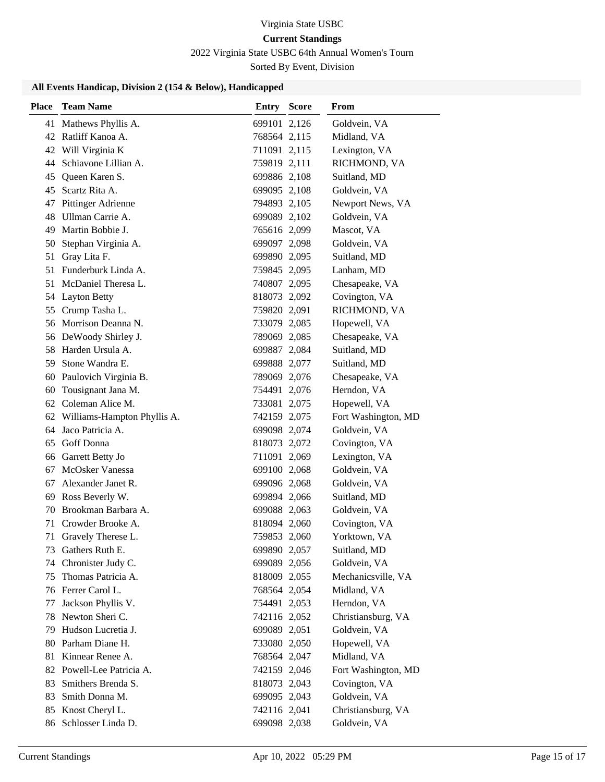# 2022 Virginia State USBC 64th Annual Women's Tourn

Sorted By Event, Division

#### **All Events Handicap, Division 2 (154 & Below), Handicapped**

| <b>Place</b> | <b>Team Name</b>               | Entry        | <b>Score</b> | From                |
|--------------|--------------------------------|--------------|--------------|---------------------|
|              | 41 Mathews Phyllis A.          | 699101 2,126 |              | Goldvein, VA        |
|              | 42 Ratliff Kanoa A.            | 768564 2,115 |              | Midland, VA         |
|              | 42 Will Virginia K             | 711091 2,115 |              | Lexington, VA       |
| 44           | Schiavone Lillian A.           | 759819 2,111 |              | RICHMOND, VA        |
| 45           | Queen Karen S.                 | 699886 2,108 |              | Suitland, MD        |
| 45           | Scartz Rita A.                 | 699095 2,108 |              | Goldvein, VA        |
| 47           | <b>Pittinger Adrienne</b>      | 794893 2,105 |              | Newport News, VA    |
| 48           | Ullman Carrie A.               | 699089 2,102 |              | Goldvein, VA        |
| 49           | Martin Bobbie J.               | 765616 2,099 |              | Mascot, VA          |
| 50           | Stephan Virginia A.            | 699097 2,098 |              | Goldvein, VA        |
| 51           | Gray Lita F.                   | 699890 2,095 |              | Suitland, MD        |
| 51           | Funderburk Linda A.            | 759845 2,095 |              | Lanham, MD          |
| 51           | McDaniel Theresa L.            | 740807 2,095 |              | Chesapeake, VA      |
|              | 54 Layton Betty                | 818073 2,092 |              | Covington, VA       |
|              | 55 Crump Tasha L.              | 759820 2,091 |              | RICHMOND, VA        |
|              | 56 Morrison Deanna N.          | 733079 2,085 |              | Hopewell, VA        |
|              | 56 DeWoody Shirley J.          | 789069 2,085 |              | Chesapeake, VA      |
|              | 58 Harden Ursula A.            | 699887 2,084 |              | Suitland, MD        |
| 59.          | Stone Wandra E.                | 699888 2,077 |              | Suitland, MD        |
| 60           | Paulovich Virginia B.          | 789069 2,076 |              | Chesapeake, VA      |
| 60           | Tousignant Jana M.             | 754491 2,076 |              | Herndon, VA         |
|              | 62 Coleman Alice M.            | 733081 2,075 |              | Hopewell, VA        |
|              | 62 Williams-Hampton Phyllis A. | 742159 2,075 |              | Fort Washington, MD |
| 64           | Jaco Patricia A.               | 699098 2,074 |              | Goldvein, VA        |
| 65           | Goff Donna                     | 818073 2,072 |              | Covington, VA       |
| 66           | Garrett Betty Jo               | 711091 2,069 |              | Lexington, VA       |
| 67           | <b>McOsker Vanessa</b>         | 699100 2,068 |              | Goldvein, VA        |
| 67           | Alexander Janet R.             | 699096 2,068 |              | Goldvein, VA        |
| 69           | Ross Beverly W.                | 699894 2,066 |              | Suitland, MD        |
| 70           | Brookman Barbara A.            | 699088 2,063 |              | Goldvein, VA        |
| 71           | Crowder Brooke A.              | 818094 2,060 |              | Covington, VA       |
| 71           | Gravely Therese L.             | 759853 2,060 |              | Yorktown, VA        |
| 73.          | Gathers Ruth E.                | 699890 2,057 |              | Suitland, MD        |
| 74           | Chronister Judy C.             | 699089 2,056 |              | Goldvein, VA        |
| 75           | Thomas Patricia A.             | 818009 2,055 |              | Mechanicsville, VA  |
| 76           | Ferrer Carol L.                | 768564 2,054 |              | Midland, VA         |
| 77           | Jackson Phyllis V.             | 754491 2,053 |              | Herndon, VA         |
| 78           | Newton Sheri C.                | 742116 2,052 |              | Christiansburg, VA  |
| 79           | Hudson Lucretia J.             | 699089 2,051 |              | Goldvein, VA        |
| 80           | Parham Diane H.                | 733080 2,050 |              | Hopewell, VA        |
| 81           | Kinnear Renee A.               | 768564 2,047 |              | Midland, VA         |
|              | 82 Powell-Lee Patricia A.      | 742159 2,046 |              | Fort Washington, MD |
| 83           | Smithers Brenda S.             | 818073 2,043 |              | Covington, VA       |
| 83           | Smith Donna M.                 | 699095 2,043 |              | Goldvein, VA        |
| 85           | Knost Cheryl L.                | 742116 2,041 |              | Christiansburg, VA  |
|              | 86 Schlosser Linda D.          | 699098 2,038 |              | Goldvein, VA        |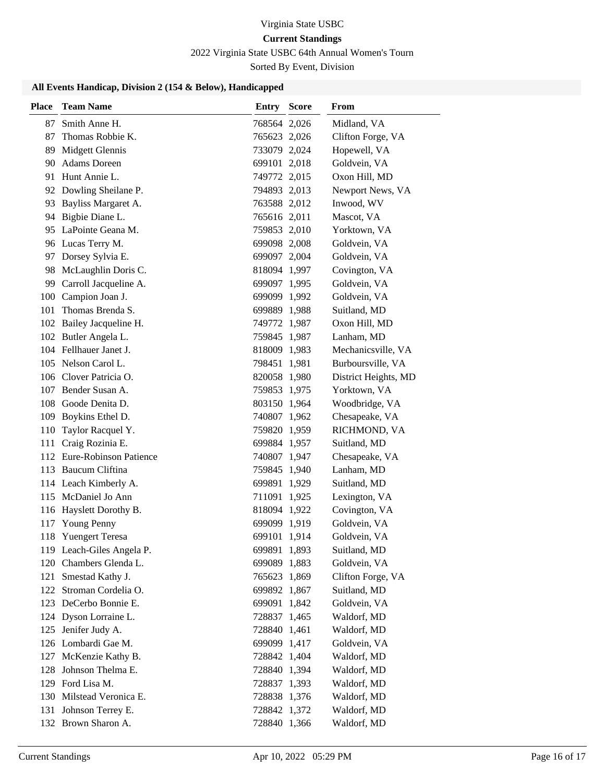# 2022 Virginia State USBC 64th Annual Women's Tourn

Sorted By Event, Division

#### **All Events Handicap, Division 2 (154 & Below), Handicapped**

| 87<br>Smith Anne H.<br>768564 2,026<br>Midland, VA<br>Thomas Robbie K.<br>87<br>765623 2,026<br>Clifton Forge, VA<br>Midgett Glennis<br>89<br>733079 2,024<br>Hopewell, VA<br><b>Adams</b> Doreen<br>90<br>Goldvein, VA<br>699101 2,018<br>91 Hunt Annie L.<br>Oxon Hill, MD<br>749772 2,015<br>92 Dowling Sheilane P.<br>794893 2,013<br>Newport News, VA<br>93 Bayliss Margaret A.<br>Inwood, WV<br>763588 2,012<br>Bigbie Diane L.<br>765616 2,011<br>Mascot, VA<br>94<br>95 LaPointe Geana M.<br>Yorktown, VA<br>759853 2,010<br>96 Lucas Terry M.<br>699098 2,008<br>Goldvein, VA<br>97 Dorsey Sylvia E.<br>Goldvein, VA<br>699097 2,004<br>98 McLaughlin Doris C.<br>Covington, VA<br>818094 1,997<br>Carroll Jacqueline A.<br>Goldvein, VA<br>99<br>699097 1,995<br>100 Campion Joan J.<br>Goldvein, VA<br>699099 1,992<br>Thomas Brenda S.<br>101<br>Suitland, MD<br>699889 1,988<br>102 Bailey Jacqueline H.<br>Oxon Hill, MD<br>749772 1,987<br>102 Butler Angela L.<br>Lanham, MD<br>759845 1,987<br>104 Fellhauer Janet J.<br>Mechanicsville, VA<br>818009 1,983<br>105 Nelson Carol L.<br>Burboursville, VA<br>798451 1,981<br>106 Clover Patricia O.<br>820058 1,980<br>District Heights, MD<br>107 Bender Susan A.<br>Yorktown, VA<br>759853 1,975<br>108 Goode Denita D.<br>Woodbridge, VA<br>803150 1,964<br>109 Boykins Ethel D.<br>740807 1,962<br>Chesapeake, VA<br>Taylor Racquel Y.<br>RICHMOND, VA<br>110<br>759820 1,959<br>Craig Rozinia E.<br>Suitland, MD<br>111<br>699884 1,957<br>112 Eure-Robinson Patience<br>Chesapeake, VA<br>740807 1,947<br>113 Baucum Cliftina<br>759845 1,940<br>Lanham, MD<br>114 Leach Kimberly A.<br>699891 1,929<br>Suitland, MD<br>115 McDaniel Jo Ann<br>711091 1,925<br>Lexington, VA<br>116 Hayslett Dorothy B.<br>Covington, VA<br>818094 1,922<br>Young Penny<br>699099 1,919<br>Goldvein, VA<br>117<br>118 Yuengert Teresa<br>699101 1,914<br>Goldvein, VA<br>119 Leach-Giles Angela P.<br>699891 1,893<br>Suitland, MD<br>120 Chambers Glenda L.<br>699089 1,883<br>Goldvein, VA<br>121 Smestad Kathy J.<br>Clifton Forge, VA<br>765623 1,869<br>122 Stroman Cordelia O.<br>699892 1,867<br>Suitland, MD<br>123 DeCerbo Bonnie E.<br>Goldvein, VA<br>699091 1,842<br>124 Dyson Lorraine L.<br>Waldorf, MD<br>728837 1,465<br>125<br>Jenifer Judy A.<br>728840 1,461<br>Waldorf, MD<br>126 Lombardi Gae M.<br>Goldvein, VA<br>699099 1,417<br>127 McKenzie Kathy B.<br>728842 1,404<br>Waldorf, MD<br>Johnson Thelma E.<br>728840 1,394<br>Waldorf, MD<br>128<br>129 Ford Lisa M.<br>728837 1,393<br>Waldorf, MD<br>130 Milstead Veronica E.<br>728838 1,376<br>Waldorf, MD<br>131 Johnson Terrey E.<br>Waldorf, MD<br>728842 1,372<br>132 Brown Sharon A.<br>728840 1,366 | <b>Place</b> | <b>Team Name</b> | <b>Entry Score</b> | From        |
|--------------------------------------------------------------------------------------------------------------------------------------------------------------------------------------------------------------------------------------------------------------------------------------------------------------------------------------------------------------------------------------------------------------------------------------------------------------------------------------------------------------------------------------------------------------------------------------------------------------------------------------------------------------------------------------------------------------------------------------------------------------------------------------------------------------------------------------------------------------------------------------------------------------------------------------------------------------------------------------------------------------------------------------------------------------------------------------------------------------------------------------------------------------------------------------------------------------------------------------------------------------------------------------------------------------------------------------------------------------------------------------------------------------------------------------------------------------------------------------------------------------------------------------------------------------------------------------------------------------------------------------------------------------------------------------------------------------------------------------------------------------------------------------------------------------------------------------------------------------------------------------------------------------------------------------------------------------------------------------------------------------------------------------------------------------------------------------------------------------------------------------------------------------------------------------------------------------------------------------------------------------------------------------------------------------------------------------------------------------------------------------------------------------------------------------------------------------------------------------------------------------------------------------------------------------------------------------------------------------------------------------------------------------------------------------------------------------------------------------------|--------------|------------------|--------------------|-------------|
|                                                                                                                                                                                                                                                                                                                                                                                                                                                                                                                                                                                                                                                                                                                                                                                                                                                                                                                                                                                                                                                                                                                                                                                                                                                                                                                                                                                                                                                                                                                                                                                                                                                                                                                                                                                                                                                                                                                                                                                                                                                                                                                                                                                                                                                                                                                                                                                                                                                                                                                                                                                                                                                                                                                                            |              |                  |                    |             |
|                                                                                                                                                                                                                                                                                                                                                                                                                                                                                                                                                                                                                                                                                                                                                                                                                                                                                                                                                                                                                                                                                                                                                                                                                                                                                                                                                                                                                                                                                                                                                                                                                                                                                                                                                                                                                                                                                                                                                                                                                                                                                                                                                                                                                                                                                                                                                                                                                                                                                                                                                                                                                                                                                                                                            |              |                  |                    |             |
|                                                                                                                                                                                                                                                                                                                                                                                                                                                                                                                                                                                                                                                                                                                                                                                                                                                                                                                                                                                                                                                                                                                                                                                                                                                                                                                                                                                                                                                                                                                                                                                                                                                                                                                                                                                                                                                                                                                                                                                                                                                                                                                                                                                                                                                                                                                                                                                                                                                                                                                                                                                                                                                                                                                                            |              |                  |                    |             |
|                                                                                                                                                                                                                                                                                                                                                                                                                                                                                                                                                                                                                                                                                                                                                                                                                                                                                                                                                                                                                                                                                                                                                                                                                                                                                                                                                                                                                                                                                                                                                                                                                                                                                                                                                                                                                                                                                                                                                                                                                                                                                                                                                                                                                                                                                                                                                                                                                                                                                                                                                                                                                                                                                                                                            |              |                  |                    |             |
|                                                                                                                                                                                                                                                                                                                                                                                                                                                                                                                                                                                                                                                                                                                                                                                                                                                                                                                                                                                                                                                                                                                                                                                                                                                                                                                                                                                                                                                                                                                                                                                                                                                                                                                                                                                                                                                                                                                                                                                                                                                                                                                                                                                                                                                                                                                                                                                                                                                                                                                                                                                                                                                                                                                                            |              |                  |                    |             |
|                                                                                                                                                                                                                                                                                                                                                                                                                                                                                                                                                                                                                                                                                                                                                                                                                                                                                                                                                                                                                                                                                                                                                                                                                                                                                                                                                                                                                                                                                                                                                                                                                                                                                                                                                                                                                                                                                                                                                                                                                                                                                                                                                                                                                                                                                                                                                                                                                                                                                                                                                                                                                                                                                                                                            |              |                  |                    |             |
|                                                                                                                                                                                                                                                                                                                                                                                                                                                                                                                                                                                                                                                                                                                                                                                                                                                                                                                                                                                                                                                                                                                                                                                                                                                                                                                                                                                                                                                                                                                                                                                                                                                                                                                                                                                                                                                                                                                                                                                                                                                                                                                                                                                                                                                                                                                                                                                                                                                                                                                                                                                                                                                                                                                                            |              |                  |                    |             |
|                                                                                                                                                                                                                                                                                                                                                                                                                                                                                                                                                                                                                                                                                                                                                                                                                                                                                                                                                                                                                                                                                                                                                                                                                                                                                                                                                                                                                                                                                                                                                                                                                                                                                                                                                                                                                                                                                                                                                                                                                                                                                                                                                                                                                                                                                                                                                                                                                                                                                                                                                                                                                                                                                                                                            |              |                  |                    |             |
|                                                                                                                                                                                                                                                                                                                                                                                                                                                                                                                                                                                                                                                                                                                                                                                                                                                                                                                                                                                                                                                                                                                                                                                                                                                                                                                                                                                                                                                                                                                                                                                                                                                                                                                                                                                                                                                                                                                                                                                                                                                                                                                                                                                                                                                                                                                                                                                                                                                                                                                                                                                                                                                                                                                                            |              |                  |                    |             |
|                                                                                                                                                                                                                                                                                                                                                                                                                                                                                                                                                                                                                                                                                                                                                                                                                                                                                                                                                                                                                                                                                                                                                                                                                                                                                                                                                                                                                                                                                                                                                                                                                                                                                                                                                                                                                                                                                                                                                                                                                                                                                                                                                                                                                                                                                                                                                                                                                                                                                                                                                                                                                                                                                                                                            |              |                  |                    |             |
|                                                                                                                                                                                                                                                                                                                                                                                                                                                                                                                                                                                                                                                                                                                                                                                                                                                                                                                                                                                                                                                                                                                                                                                                                                                                                                                                                                                                                                                                                                                                                                                                                                                                                                                                                                                                                                                                                                                                                                                                                                                                                                                                                                                                                                                                                                                                                                                                                                                                                                                                                                                                                                                                                                                                            |              |                  |                    |             |
|                                                                                                                                                                                                                                                                                                                                                                                                                                                                                                                                                                                                                                                                                                                                                                                                                                                                                                                                                                                                                                                                                                                                                                                                                                                                                                                                                                                                                                                                                                                                                                                                                                                                                                                                                                                                                                                                                                                                                                                                                                                                                                                                                                                                                                                                                                                                                                                                                                                                                                                                                                                                                                                                                                                                            |              |                  |                    |             |
|                                                                                                                                                                                                                                                                                                                                                                                                                                                                                                                                                                                                                                                                                                                                                                                                                                                                                                                                                                                                                                                                                                                                                                                                                                                                                                                                                                                                                                                                                                                                                                                                                                                                                                                                                                                                                                                                                                                                                                                                                                                                                                                                                                                                                                                                                                                                                                                                                                                                                                                                                                                                                                                                                                                                            |              |                  |                    |             |
|                                                                                                                                                                                                                                                                                                                                                                                                                                                                                                                                                                                                                                                                                                                                                                                                                                                                                                                                                                                                                                                                                                                                                                                                                                                                                                                                                                                                                                                                                                                                                                                                                                                                                                                                                                                                                                                                                                                                                                                                                                                                                                                                                                                                                                                                                                                                                                                                                                                                                                                                                                                                                                                                                                                                            |              |                  |                    |             |
|                                                                                                                                                                                                                                                                                                                                                                                                                                                                                                                                                                                                                                                                                                                                                                                                                                                                                                                                                                                                                                                                                                                                                                                                                                                                                                                                                                                                                                                                                                                                                                                                                                                                                                                                                                                                                                                                                                                                                                                                                                                                                                                                                                                                                                                                                                                                                                                                                                                                                                                                                                                                                                                                                                                                            |              |                  |                    |             |
|                                                                                                                                                                                                                                                                                                                                                                                                                                                                                                                                                                                                                                                                                                                                                                                                                                                                                                                                                                                                                                                                                                                                                                                                                                                                                                                                                                                                                                                                                                                                                                                                                                                                                                                                                                                                                                                                                                                                                                                                                                                                                                                                                                                                                                                                                                                                                                                                                                                                                                                                                                                                                                                                                                                                            |              |                  |                    |             |
|                                                                                                                                                                                                                                                                                                                                                                                                                                                                                                                                                                                                                                                                                                                                                                                                                                                                                                                                                                                                                                                                                                                                                                                                                                                                                                                                                                                                                                                                                                                                                                                                                                                                                                                                                                                                                                                                                                                                                                                                                                                                                                                                                                                                                                                                                                                                                                                                                                                                                                                                                                                                                                                                                                                                            |              |                  |                    |             |
|                                                                                                                                                                                                                                                                                                                                                                                                                                                                                                                                                                                                                                                                                                                                                                                                                                                                                                                                                                                                                                                                                                                                                                                                                                                                                                                                                                                                                                                                                                                                                                                                                                                                                                                                                                                                                                                                                                                                                                                                                                                                                                                                                                                                                                                                                                                                                                                                                                                                                                                                                                                                                                                                                                                                            |              |                  |                    |             |
|                                                                                                                                                                                                                                                                                                                                                                                                                                                                                                                                                                                                                                                                                                                                                                                                                                                                                                                                                                                                                                                                                                                                                                                                                                                                                                                                                                                                                                                                                                                                                                                                                                                                                                                                                                                                                                                                                                                                                                                                                                                                                                                                                                                                                                                                                                                                                                                                                                                                                                                                                                                                                                                                                                                                            |              |                  |                    |             |
|                                                                                                                                                                                                                                                                                                                                                                                                                                                                                                                                                                                                                                                                                                                                                                                                                                                                                                                                                                                                                                                                                                                                                                                                                                                                                                                                                                                                                                                                                                                                                                                                                                                                                                                                                                                                                                                                                                                                                                                                                                                                                                                                                                                                                                                                                                                                                                                                                                                                                                                                                                                                                                                                                                                                            |              |                  |                    |             |
|                                                                                                                                                                                                                                                                                                                                                                                                                                                                                                                                                                                                                                                                                                                                                                                                                                                                                                                                                                                                                                                                                                                                                                                                                                                                                                                                                                                                                                                                                                                                                                                                                                                                                                                                                                                                                                                                                                                                                                                                                                                                                                                                                                                                                                                                                                                                                                                                                                                                                                                                                                                                                                                                                                                                            |              |                  |                    |             |
|                                                                                                                                                                                                                                                                                                                                                                                                                                                                                                                                                                                                                                                                                                                                                                                                                                                                                                                                                                                                                                                                                                                                                                                                                                                                                                                                                                                                                                                                                                                                                                                                                                                                                                                                                                                                                                                                                                                                                                                                                                                                                                                                                                                                                                                                                                                                                                                                                                                                                                                                                                                                                                                                                                                                            |              |                  |                    |             |
|                                                                                                                                                                                                                                                                                                                                                                                                                                                                                                                                                                                                                                                                                                                                                                                                                                                                                                                                                                                                                                                                                                                                                                                                                                                                                                                                                                                                                                                                                                                                                                                                                                                                                                                                                                                                                                                                                                                                                                                                                                                                                                                                                                                                                                                                                                                                                                                                                                                                                                                                                                                                                                                                                                                                            |              |                  |                    |             |
|                                                                                                                                                                                                                                                                                                                                                                                                                                                                                                                                                                                                                                                                                                                                                                                                                                                                                                                                                                                                                                                                                                                                                                                                                                                                                                                                                                                                                                                                                                                                                                                                                                                                                                                                                                                                                                                                                                                                                                                                                                                                                                                                                                                                                                                                                                                                                                                                                                                                                                                                                                                                                                                                                                                                            |              |                  |                    |             |
|                                                                                                                                                                                                                                                                                                                                                                                                                                                                                                                                                                                                                                                                                                                                                                                                                                                                                                                                                                                                                                                                                                                                                                                                                                                                                                                                                                                                                                                                                                                                                                                                                                                                                                                                                                                                                                                                                                                                                                                                                                                                                                                                                                                                                                                                                                                                                                                                                                                                                                                                                                                                                                                                                                                                            |              |                  |                    |             |
|                                                                                                                                                                                                                                                                                                                                                                                                                                                                                                                                                                                                                                                                                                                                                                                                                                                                                                                                                                                                                                                                                                                                                                                                                                                                                                                                                                                                                                                                                                                                                                                                                                                                                                                                                                                                                                                                                                                                                                                                                                                                                                                                                                                                                                                                                                                                                                                                                                                                                                                                                                                                                                                                                                                                            |              |                  |                    |             |
|                                                                                                                                                                                                                                                                                                                                                                                                                                                                                                                                                                                                                                                                                                                                                                                                                                                                                                                                                                                                                                                                                                                                                                                                                                                                                                                                                                                                                                                                                                                                                                                                                                                                                                                                                                                                                                                                                                                                                                                                                                                                                                                                                                                                                                                                                                                                                                                                                                                                                                                                                                                                                                                                                                                                            |              |                  |                    |             |
|                                                                                                                                                                                                                                                                                                                                                                                                                                                                                                                                                                                                                                                                                                                                                                                                                                                                                                                                                                                                                                                                                                                                                                                                                                                                                                                                                                                                                                                                                                                                                                                                                                                                                                                                                                                                                                                                                                                                                                                                                                                                                                                                                                                                                                                                                                                                                                                                                                                                                                                                                                                                                                                                                                                                            |              |                  |                    |             |
|                                                                                                                                                                                                                                                                                                                                                                                                                                                                                                                                                                                                                                                                                                                                                                                                                                                                                                                                                                                                                                                                                                                                                                                                                                                                                                                                                                                                                                                                                                                                                                                                                                                                                                                                                                                                                                                                                                                                                                                                                                                                                                                                                                                                                                                                                                                                                                                                                                                                                                                                                                                                                                                                                                                                            |              |                  |                    |             |
|                                                                                                                                                                                                                                                                                                                                                                                                                                                                                                                                                                                                                                                                                                                                                                                                                                                                                                                                                                                                                                                                                                                                                                                                                                                                                                                                                                                                                                                                                                                                                                                                                                                                                                                                                                                                                                                                                                                                                                                                                                                                                                                                                                                                                                                                                                                                                                                                                                                                                                                                                                                                                                                                                                                                            |              |                  |                    |             |
|                                                                                                                                                                                                                                                                                                                                                                                                                                                                                                                                                                                                                                                                                                                                                                                                                                                                                                                                                                                                                                                                                                                                                                                                                                                                                                                                                                                                                                                                                                                                                                                                                                                                                                                                                                                                                                                                                                                                                                                                                                                                                                                                                                                                                                                                                                                                                                                                                                                                                                                                                                                                                                                                                                                                            |              |                  |                    |             |
|                                                                                                                                                                                                                                                                                                                                                                                                                                                                                                                                                                                                                                                                                                                                                                                                                                                                                                                                                                                                                                                                                                                                                                                                                                                                                                                                                                                                                                                                                                                                                                                                                                                                                                                                                                                                                                                                                                                                                                                                                                                                                                                                                                                                                                                                                                                                                                                                                                                                                                                                                                                                                                                                                                                                            |              |                  |                    |             |
|                                                                                                                                                                                                                                                                                                                                                                                                                                                                                                                                                                                                                                                                                                                                                                                                                                                                                                                                                                                                                                                                                                                                                                                                                                                                                                                                                                                                                                                                                                                                                                                                                                                                                                                                                                                                                                                                                                                                                                                                                                                                                                                                                                                                                                                                                                                                                                                                                                                                                                                                                                                                                                                                                                                                            |              |                  |                    |             |
|                                                                                                                                                                                                                                                                                                                                                                                                                                                                                                                                                                                                                                                                                                                                                                                                                                                                                                                                                                                                                                                                                                                                                                                                                                                                                                                                                                                                                                                                                                                                                                                                                                                                                                                                                                                                                                                                                                                                                                                                                                                                                                                                                                                                                                                                                                                                                                                                                                                                                                                                                                                                                                                                                                                                            |              |                  |                    |             |
|                                                                                                                                                                                                                                                                                                                                                                                                                                                                                                                                                                                                                                                                                                                                                                                                                                                                                                                                                                                                                                                                                                                                                                                                                                                                                                                                                                                                                                                                                                                                                                                                                                                                                                                                                                                                                                                                                                                                                                                                                                                                                                                                                                                                                                                                                                                                                                                                                                                                                                                                                                                                                                                                                                                                            |              |                  |                    |             |
|                                                                                                                                                                                                                                                                                                                                                                                                                                                                                                                                                                                                                                                                                                                                                                                                                                                                                                                                                                                                                                                                                                                                                                                                                                                                                                                                                                                                                                                                                                                                                                                                                                                                                                                                                                                                                                                                                                                                                                                                                                                                                                                                                                                                                                                                                                                                                                                                                                                                                                                                                                                                                                                                                                                                            |              |                  |                    |             |
|                                                                                                                                                                                                                                                                                                                                                                                                                                                                                                                                                                                                                                                                                                                                                                                                                                                                                                                                                                                                                                                                                                                                                                                                                                                                                                                                                                                                                                                                                                                                                                                                                                                                                                                                                                                                                                                                                                                                                                                                                                                                                                                                                                                                                                                                                                                                                                                                                                                                                                                                                                                                                                                                                                                                            |              |                  |                    |             |
|                                                                                                                                                                                                                                                                                                                                                                                                                                                                                                                                                                                                                                                                                                                                                                                                                                                                                                                                                                                                                                                                                                                                                                                                                                                                                                                                                                                                                                                                                                                                                                                                                                                                                                                                                                                                                                                                                                                                                                                                                                                                                                                                                                                                                                                                                                                                                                                                                                                                                                                                                                                                                                                                                                                                            |              |                  |                    |             |
|                                                                                                                                                                                                                                                                                                                                                                                                                                                                                                                                                                                                                                                                                                                                                                                                                                                                                                                                                                                                                                                                                                                                                                                                                                                                                                                                                                                                                                                                                                                                                                                                                                                                                                                                                                                                                                                                                                                                                                                                                                                                                                                                                                                                                                                                                                                                                                                                                                                                                                                                                                                                                                                                                                                                            |              |                  |                    |             |
|                                                                                                                                                                                                                                                                                                                                                                                                                                                                                                                                                                                                                                                                                                                                                                                                                                                                                                                                                                                                                                                                                                                                                                                                                                                                                                                                                                                                                                                                                                                                                                                                                                                                                                                                                                                                                                                                                                                                                                                                                                                                                                                                                                                                                                                                                                                                                                                                                                                                                                                                                                                                                                                                                                                                            |              |                  |                    |             |
|                                                                                                                                                                                                                                                                                                                                                                                                                                                                                                                                                                                                                                                                                                                                                                                                                                                                                                                                                                                                                                                                                                                                                                                                                                                                                                                                                                                                                                                                                                                                                                                                                                                                                                                                                                                                                                                                                                                                                                                                                                                                                                                                                                                                                                                                                                                                                                                                                                                                                                                                                                                                                                                                                                                                            |              |                  |                    |             |
|                                                                                                                                                                                                                                                                                                                                                                                                                                                                                                                                                                                                                                                                                                                                                                                                                                                                                                                                                                                                                                                                                                                                                                                                                                                                                                                                                                                                                                                                                                                                                                                                                                                                                                                                                                                                                                                                                                                                                                                                                                                                                                                                                                                                                                                                                                                                                                                                                                                                                                                                                                                                                                                                                                                                            |              |                  |                    |             |
|                                                                                                                                                                                                                                                                                                                                                                                                                                                                                                                                                                                                                                                                                                                                                                                                                                                                                                                                                                                                                                                                                                                                                                                                                                                                                                                                                                                                                                                                                                                                                                                                                                                                                                                                                                                                                                                                                                                                                                                                                                                                                                                                                                                                                                                                                                                                                                                                                                                                                                                                                                                                                                                                                                                                            |              |                  |                    |             |
|                                                                                                                                                                                                                                                                                                                                                                                                                                                                                                                                                                                                                                                                                                                                                                                                                                                                                                                                                                                                                                                                                                                                                                                                                                                                                                                                                                                                                                                                                                                                                                                                                                                                                                                                                                                                                                                                                                                                                                                                                                                                                                                                                                                                                                                                                                                                                                                                                                                                                                                                                                                                                                                                                                                                            |              |                  |                    |             |
|                                                                                                                                                                                                                                                                                                                                                                                                                                                                                                                                                                                                                                                                                                                                                                                                                                                                                                                                                                                                                                                                                                                                                                                                                                                                                                                                                                                                                                                                                                                                                                                                                                                                                                                                                                                                                                                                                                                                                                                                                                                                                                                                                                                                                                                                                                                                                                                                                                                                                                                                                                                                                                                                                                                                            |              |                  |                    | Waldorf, MD |